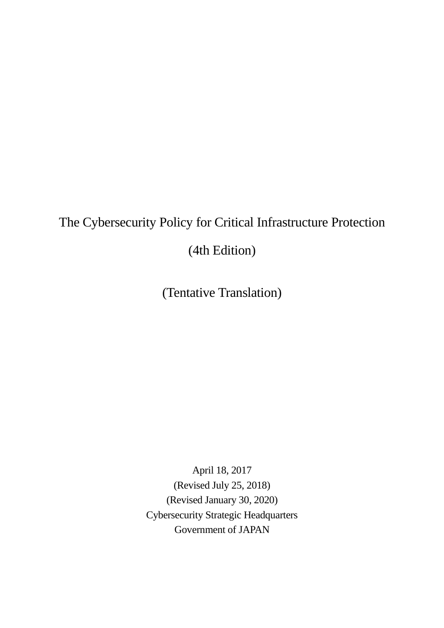# The Cybersecurity Policy for Critical Infrastructure Protection

(4th Edition)

(Tentative Translation)

April 18, 2017 (Revised July 25, 2018) (Revised January 30, 2020) Cybersecurity Strategic Headquarters Government of JAPAN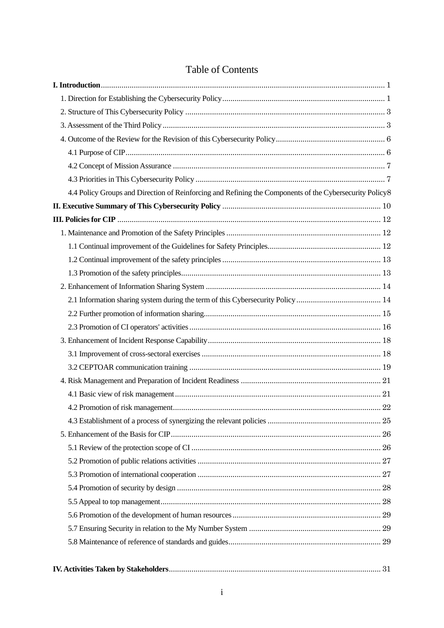| 4.4 Policy Groups and Direction of Reinforcing and Refining the Components of the Cybersecurity Policy8 |  |
|---------------------------------------------------------------------------------------------------------|--|
|                                                                                                         |  |
|                                                                                                         |  |
|                                                                                                         |  |
|                                                                                                         |  |
|                                                                                                         |  |
|                                                                                                         |  |
|                                                                                                         |  |
|                                                                                                         |  |
|                                                                                                         |  |
|                                                                                                         |  |
|                                                                                                         |  |
|                                                                                                         |  |
|                                                                                                         |  |
|                                                                                                         |  |
|                                                                                                         |  |
|                                                                                                         |  |
|                                                                                                         |  |
|                                                                                                         |  |
|                                                                                                         |  |
|                                                                                                         |  |
|                                                                                                         |  |
|                                                                                                         |  |
|                                                                                                         |  |
|                                                                                                         |  |
|                                                                                                         |  |
|                                                                                                         |  |
|                                                                                                         |  |

# Table of Contents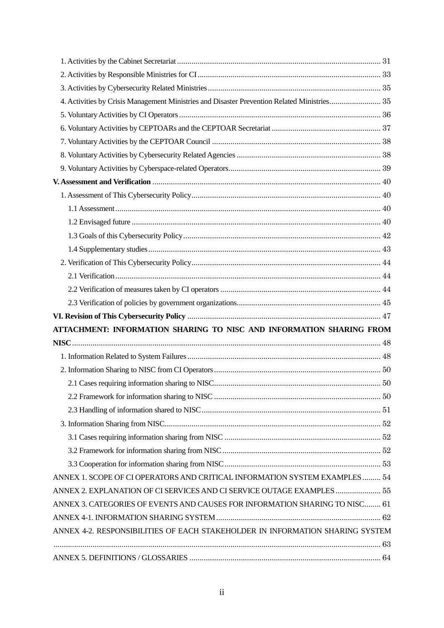| 4. Activities by Crisis Management Ministries and Disaster Prevention Related Ministries 35 |  |
|---------------------------------------------------------------------------------------------|--|
|                                                                                             |  |
|                                                                                             |  |
|                                                                                             |  |
|                                                                                             |  |
|                                                                                             |  |
|                                                                                             |  |
|                                                                                             |  |
|                                                                                             |  |
|                                                                                             |  |
|                                                                                             |  |
|                                                                                             |  |
|                                                                                             |  |
|                                                                                             |  |
|                                                                                             |  |
|                                                                                             |  |
|                                                                                             |  |
| ATTACHMENT: INFORMATION SHARING TO NISC AND INFORMATION SHARING FROM                        |  |
|                                                                                             |  |
|                                                                                             |  |
|                                                                                             |  |
|                                                                                             |  |
|                                                                                             |  |
|                                                                                             |  |
|                                                                                             |  |
|                                                                                             |  |
|                                                                                             |  |
|                                                                                             |  |
| ANNEX 1. SCOPE OF CI OPERATORS AND CRITICAL INFORMATION SYSTEM EXAMPLES  54                 |  |
| ANNEX 2. EXPLANATION OF CI SERVICES AND CI SERVICE OUTAGE EXAMPLES  55                      |  |
| ANNEX 3. CATEGORIES OF EVENTS AND CAUSES FOR INFORMATION SHARING TO NISC 61                 |  |
|                                                                                             |  |
| ANNEX 4-2. RESPONSIBILITIES OF EACH STAKEHOLDER IN INFORMATION SHARING SYSTEM               |  |
|                                                                                             |  |
|                                                                                             |  |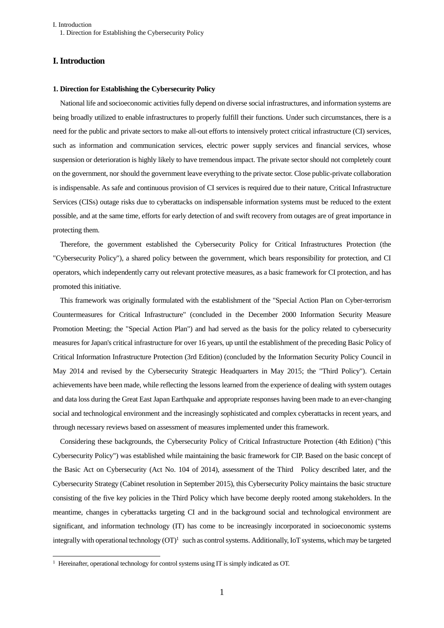I. Introduction 1. Direction for Establishing the Cybersecurity Policy

# <span id="page-4-1"></span><span id="page-4-0"></span>**I. Introduction**

#### **1. Direction for Establishing the Cybersecurity Policy**

National life and socioeconomic activities fully depend on diverse social infrastructures, and information systems are being broadly utilized to enable infrastructures to properly fulfill their functions. Under such circumstances, there is a need for the public and private sectors to make all-out efforts to intensively protect critical infrastructure (CI) services, such as information and communication services, electric power supply services and financial services, whose suspension or deterioration is highly likely to have tremendous impact. The private sector should not completely count on the government, nor should the government leave everything to the private sector. Close public-private collaboration is indispensable. As safe and continuous provision of CI services is required due to their nature, Critical Infrastructure Services (CISs) outage risks due to cyberattacks on indispensable information systems must be reduced to the extent possible, and at the same time, efforts for early detection of and swift recovery from outages are of great importance in protecting them.

Therefore, the government established the Cybersecurity Policy for Critical Infrastructures Protection (the "Cybersecurity Policy"), a shared policy between the government, which bears responsibility for protection, and CI operators, which independently carry out relevant protective measures, as a basic framework for CI protection, and has promoted this initiative.

This framework was originally formulated with the establishment of the "Special Action Plan on Cyber-terrorism Countermeasures for Critical Infrastructure" (concluded in the December 2000 Information Security Measure Promotion Meeting; the "Special Action Plan") and had served as the basis for the policy related to cybersecurity measures for Japan's critical infrastructure for over 16 years, up until the establishment of the preceding Basic Policy of Critical Information Infrastructure Protection (3rd Edition) (concluded by the Information Security Policy Council in May 2014 and revised by the Cybersecurity Strategic Headquarters in May 2015; the "Third Policy"). Certain achievements have been made, while reflecting the lessons learned from the experience of dealing with system outages and data loss during the Great East Japan Earthquake and appropriate responses having been made to an ever-changing social and technological environment and the increasingly sophisticated and complex cyberattacks in recent years, and through necessary reviews based on assessment of measures implemented under this framework.

Considering these backgrounds, the Cybersecurity Policy of Critical Infrastructure Protection (4th Edition) ("this Cybersecurity Policy") was established while maintaining the basic framework for CIP. Based on the basic concept of the Basic Act on Cybersecurity (Act No. 104 of 2014), assessment of the Third Policy described later, and the Cybersecurity Strategy (Cabinet resolution in September 2015), this Cybersecurity Policy maintains the basic structure consisting of the five key policies in the Third Policy which have become deeply rooted among stakeholders. In the meantime, changes in cyberattacks targeting CI and in the background social and technological environment are significant, and information technology (IT) has come to be increasingly incorporated in socioeconomic systems integrally with operational technology  $(T)^1$  such as control systems. Additionally, IoT systems, which may be targeted

 $\overline{a}$ 

<sup>&</sup>lt;sup>1</sup> Hereinafter, operational technology for control systems using IT is simply indicated as OT.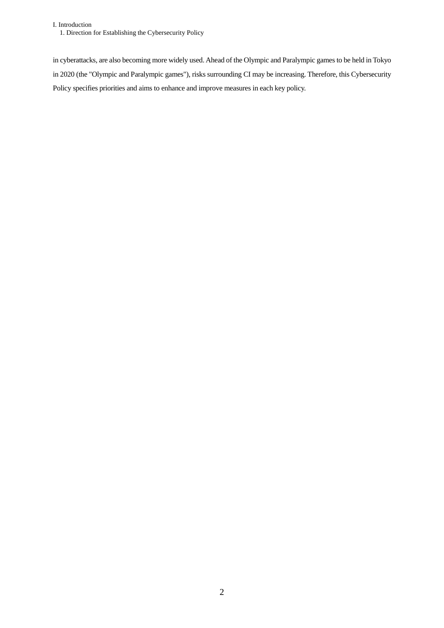I. Introduction 1. Direction for Establishing the Cybersecurity Policy

in cyberattacks, are also becoming more widely used. Ahead of the Olympic and Paralympic games to be held in Tokyo in 2020 (the "Olympic and Paralympic games"), risks surrounding CI may be increasing. Therefore, this Cybersecurity Policy specifies priorities and aims to enhance and improve measures in each key policy.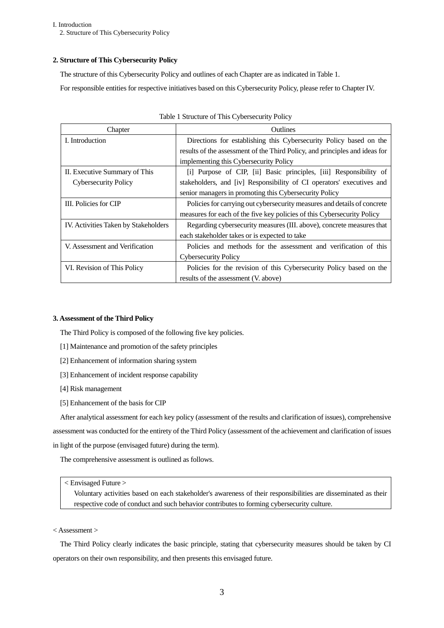I. Introduction 2. Structure of This Cybersecurity Policy

# <span id="page-6-0"></span>**2. Structure of This Cybersecurity Policy**

The structure of this Cybersecurity Policy and outlines of each Chapter are as indicated in Table 1.

For responsible entities for respective initiatives based on this Cybersecurity Policy, please refer to Chapter IV.

| Chapter                              | Outlines                                                                    |  |  |
|--------------------------------------|-----------------------------------------------------------------------------|--|--|
| I. Introduction                      | Directions for establishing this Cybersecurity Policy based on the          |  |  |
|                                      | results of the assessment of the Third Policy, and principles and ideas for |  |  |
|                                      | implementing this Cybersecurity Policy                                      |  |  |
| II. Executive Summary of This        | [i] Purpose of CIP, [ii] Basic principles, [iii] Responsibility of          |  |  |
| <b>Cybersecurity Policy</b>          | stakeholders, and [iv] Responsibility of CI operators' executives and       |  |  |
|                                      | senior managers in promoting this Cybersecurity Policy                      |  |  |
| III. Policies for CIP                | Policies for carrying out cybersecurity measures and details of concrete    |  |  |
|                                      | measures for each of the five key policies of this Cybersecurity Policy     |  |  |
| IV. Activities Taken by Stakeholders | Regarding cybersecurity measures (III. above), concrete measures that       |  |  |
|                                      | each stakeholder takes or is expected to take                               |  |  |
| V. Assessment and Verification       | Policies and methods for the assessment and verification of this            |  |  |
|                                      | <b>Cybersecurity Policy</b>                                                 |  |  |
| VI. Revision of This Policy          | Policies for the revision of this Cybersecurity Policy based on the         |  |  |
|                                      | results of the assessment (V. above)                                        |  |  |

|  |  | Table 1 Structure of This Cybersecurity Policy |  |
|--|--|------------------------------------------------|--|
|  |  |                                                |  |

# <span id="page-6-1"></span>**3. Assessment of the Third Policy**

The Third Policy is composed of the following five key policies.

- [1] Maintenance and promotion of the safety principles
- [2] Enhancement of information sharing system
- [3] Enhancement of incident response capability
- [4] Risk management
- [5] Enhancement of the basis for CIP

After analytical assessment for each key policy (assessment of the results and clarification of issues), comprehensive assessment was conducted for the entirety of the Third Policy (assessment of the achievement and clarification of issues in light of the purpose (envisaged future) during the term).

The comprehensive assessment is outlined as follows.

## < Envisaged Future >

Voluntary activities based on each stakeholder's awareness of their responsibilities are disseminated as their respective code of conduct and such behavior contributes to forming cybersecurity culture.

# < Assessment >

The Third Policy clearly indicates the basic principle, stating that cybersecurity measures should be taken by CI operators on their own responsibility, and then presents this envisaged future.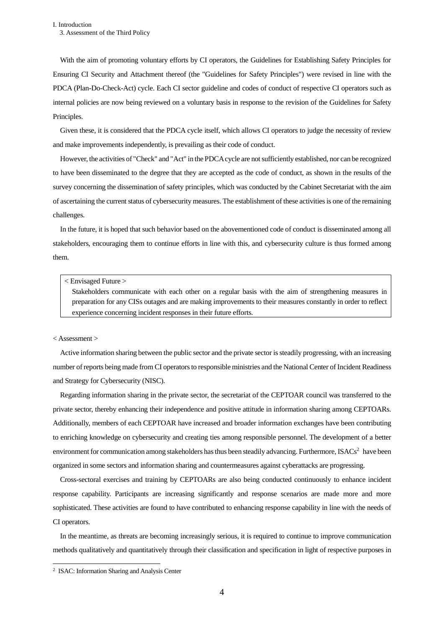With the aim of promoting voluntary efforts by CI operators, the Guidelines for Establishing Safety Principles for Ensuring CI Security and Attachment thereof (the "Guidelines for Safety Principles") were revised in line with the PDCA (Plan-Do-Check-Act) cycle. Each CI sector guideline and codes of conduct of respective CI operators such as internal policies are now being reviewed on a voluntary basis in response to the revision of the Guidelines for Safety Principles.

Given these, it is considered that the PDCA cycle itself, which allows CI operators to judge the necessity of review and make improvements independently, is prevailing as their code of conduct.

However, the activities of "Check" and "Act" in the PDCA cycle are not sufficiently established, nor can be recognized to have been disseminated to the degree that they are accepted as the code of conduct, as shown in the results of the survey concerning the dissemination of safety principles, which was conducted by the Cabinet Secretariat with the aim of ascertaining the current status of cybersecurity measures. The establishment of these activities is one of the remaining challenges.

In the future, it is hoped that such behavior based on the abovementioned code of conduct is disseminated among all stakeholders, encouraging them to continue efforts in line with this, and cybersecurity culture is thus formed among them.

#### < Envisaged Future >

Stakeholders communicate with each other on a regular basis with the aim of strengthening measures in preparation for any CISs outages and are making improvements to their measures constantly in order to reflect experience concerning incident responses in their future efforts.

#### < Assessment >

Active information sharing between the public sector and the private sector is steadily progressing, with an increasing number of reports being made from CI operators to responsible ministries and the National Center of Incident Readiness and Strategy for Cybersecurity (NISC).

Regarding information sharing in the private sector, the secretariat of the CEPTOAR council was transferred to the private sector, thereby enhancing their independence and positive attitude in information sharing among CEPTOARs. Additionally, members of each CEPTOAR have increased and broader information exchanges have been contributing to enriching knowledge on cybersecurity and creating ties among responsible personnel. The development of a better environment for communication among stakeholders has thus been steadily advancing. Furthermore, ISACs<sup>2</sup> have been organized in some sectors and information sharing and countermeasures against cyberattacks are progressing.

Cross-sectoral exercises and training by CEPTOARs are also being conducted continuously to enhance incident response capability. Participants are increasing significantly and response scenarios are made more and more sophisticated. These activities are found to have contributed to enhancing response capability in line with the needs of CI operators.

In the meantime, as threats are becoming increasingly serious, it is required to continue to improve communication methods qualitatively and quantitatively through their classification and specification in light of respective purposes in

<sup>2</sup> ISAC: Information Sharing and Analysis Center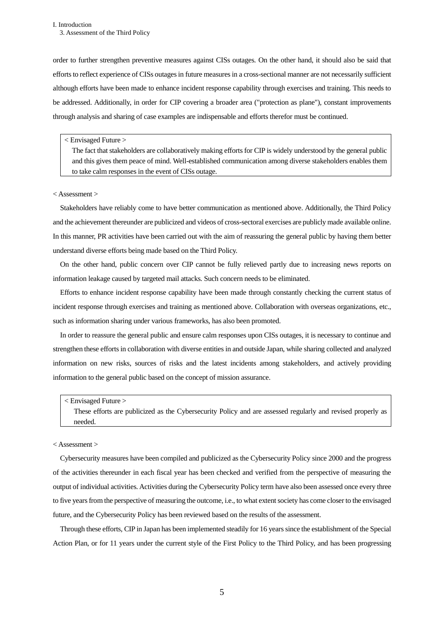#### I. Introduction 3. Assessment of the Third Policy

order to further strengthen preventive measures against CISs outages. On the other hand, it should also be said that efforts to reflect experience of CISs outages in future measures in a cross-sectional manner are not necessarily sufficient although efforts have been made to enhance incident response capability through exercises and training. This needs to be addressed. Additionally, in order for CIP covering a broader area ("protection as plane"), constant improvements through analysis and sharing of case examples are indispensable and efforts therefor must be continued.

#### < Envisaged Future >

The fact that stakeholders are collaboratively making efforts for CIP is widely understood by the general public and this gives them peace of mind. Well-established communication among diverse stakeholders enables them to take calm responses in the event of CISs outage.

## < Assessment >

Stakeholders have reliably come to have better communication as mentioned above. Additionally, the Third Policy and the achievement thereunder are publicized and videos of cross-sectoral exercises are publicly made available online. In this manner, PR activities have been carried out with the aim of reassuring the general public by having them better understand diverse efforts being made based on the Third Policy.

On the other hand, public concern over CIP cannot be fully relieved partly due to increasing news reports on information leakage caused by targeted mail attacks. Such concern needs to be eliminated.

Efforts to enhance incident response capability have been made through constantly checking the current status of incident response through exercises and training as mentioned above. Collaboration with overseas organizations, etc., such as information sharing under various frameworks, has also been promoted.

In order to reassure the general public and ensure calm responses upon CISs outages, it is necessary to continue and strengthen these efforts in collaboration with diverse entities in and outside Japan, while sharing collected and analyzed information on new risks, sources of risks and the latest incidents among stakeholders, and actively providing information to the general public based on the concept of mission assurance.

#### < Envisaged Future >

These efforts are publicized as the Cybersecurity Policy and are assessed regularly and revised properly as needed.

# < Assessment >

Cybersecurity measures have been compiled and publicized as the Cybersecurity Policy since 2000 and the progress of the activities thereunder in each fiscal year has been checked and verified from the perspective of measuring the output of individual activities. Activities during the Cybersecurity Policy term have also been assessed once every three to five years from the perspective of measuring the outcome, i.e., to what extent society has come closer to the envisaged future, and the Cybersecurity Policy has been reviewed based on the results of the assessment.

Through these efforts, CIP in Japan has been implemented steadily for 16 years since the establishment of the Special Action Plan, or for 11 years under the current style of the First Policy to the Third Policy, and has been progressing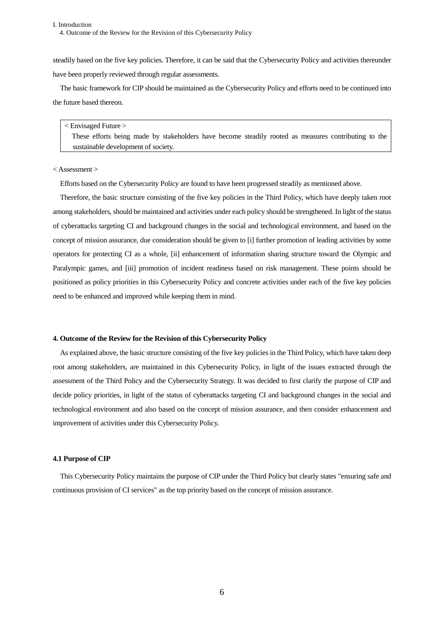steadily based on the five key policies. Therefore, it can be said that the Cybersecurity Policy and activities thereunder have been properly reviewed through regular assessments.

The basic framework for CIP should be maintained as the Cybersecurity Policy and efforts need to be continued into the future based thereon.

#### < Envisaged Future >

These efforts being made by stakeholders have become steadily rooted as measures contributing to the sustainable development of society.

#### < Assessment >

Efforts based on the Cybersecurity Policy are found to have been progressed steadily as mentioned above.

Therefore, the basic structure consisting of the five key policies in the Third Policy, which have deeply taken root among stakeholders, should be maintained and activities under each policy should be strengthened. In light of the status of cyberattacks targeting CI and background changes in the social and technological environment, and based on the concept of mission assurance, due consideration should be given to [i] further promotion of leading activities by some operators for protecting CI as a whole, [ii] enhancement of information sharing structure toward the Olympic and Paralympic games, and [iii] promotion of incident readiness based on risk management. These points should be positioned as policy priorities in this Cybersecurity Policy and concrete activities under each of the five key policies need to be enhanced and improved while keeping them in mind.

#### <span id="page-9-0"></span>**4. Outcome of the Review for the Revision of this Cybersecurity Policy**

As explained above, the basic structure consisting of the five key policies in the Third Policy, which have taken deep root among stakeholders, are maintained in this Cybersecurity Policy, in light of the issues extracted through the assessment of the Third Policy and the Cybersecurity Strategy. It was decided to first clarify the purpose of CIP and decide policy priorities, in light of the status of cyberattacks targeting CI and background changes in the social and technological environment and also based on the concept of mission assurance, and then consider enhancement and improvement of activities under this Cybersecurity Policy.

#### <span id="page-9-1"></span>**4.1 Purpose of CIP**

This Cybersecurity Policy maintains the purpose of CIP under the Third Policy but clearly states "ensuring safe and continuous provision of CI services" as the top priority based on the concept of mission assurance.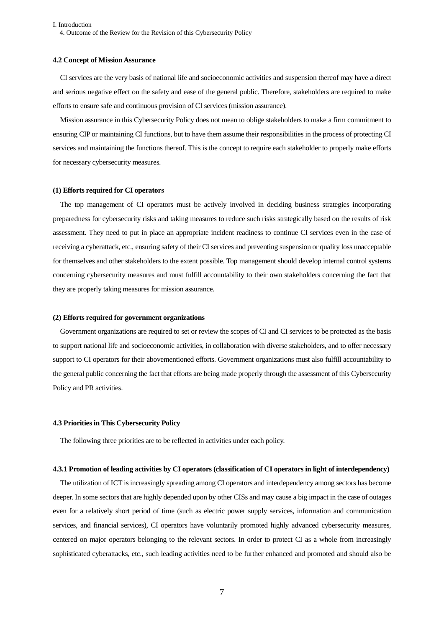I. Introduction 4. Outcome of the Review for the Revision of this Cybersecurity Policy

#### <span id="page-10-0"></span>**4.2 Concept of Mission Assurance**

CI services are the very basis of national life and socioeconomic activities and suspension thereof may have a direct and serious negative effect on the safety and ease of the general public. Therefore, stakeholders are required to make efforts to ensure safe and continuous provision of CI services (mission assurance).

Mission assurance in this Cybersecurity Policy does not mean to oblige stakeholders to make a firm commitment to ensuring CIP or maintaining CI functions, but to have them assume their responsibilities in the process of protecting CI services and maintaining the functions thereof. This is the concept to require each stakeholder to properly make efforts for necessary cybersecurity measures.

#### **(1) Efforts required for CI operators**

The top management of CI operators must be actively involved in deciding business strategies incorporating preparedness for cybersecurity risks and taking measures to reduce such risks strategically based on the results of risk assessment. They need to put in place an appropriate incident readiness to continue CI services even in the case of receiving a cyberattack, etc., ensuring safety of their CI services and preventing suspension or quality loss unacceptable for themselves and other stakeholders to the extent possible. Top management should develop internal control systems concerning cybersecurity measures and must fulfill accountability to their own stakeholders concerning the fact that they are properly taking measures for mission assurance.

#### **(2) Efforts required for government organizations**

Government organizations are required to set or review the scopes of CI and CI services to be protected as the basis to support national life and socioeconomic activities, in collaboration with diverse stakeholders, and to offer necessary support to CI operators for their abovementioned efforts. Government organizations must also fulfill accountability to the general public concerning the fact that efforts are being made properly through the assessment of this Cybersecurity Policy and PR activities.

# <span id="page-10-1"></span>**4.3 Priorities in This Cybersecurity Policy**

The following three priorities are to be reflected in activities under each policy.

#### **4.3.1 Promotion of leading activities by CI operators (classification of CI operators in light of interdependency)**

The utilization of ICT is increasingly spreading among CI operators and interdependency among sectors has become deeper. In some sectors that are highly depended upon by other CISs and may cause a big impact in the case of outages even for a relatively short period of time (such as electric power supply services, information and communication services, and financial services), CI operators have voluntarily promoted highly advanced cybersecurity measures, centered on major operators belonging to the relevant sectors. In order to protect CI as a whole from increasingly sophisticated cyberattacks, etc., such leading activities need to be further enhanced and promoted and should also be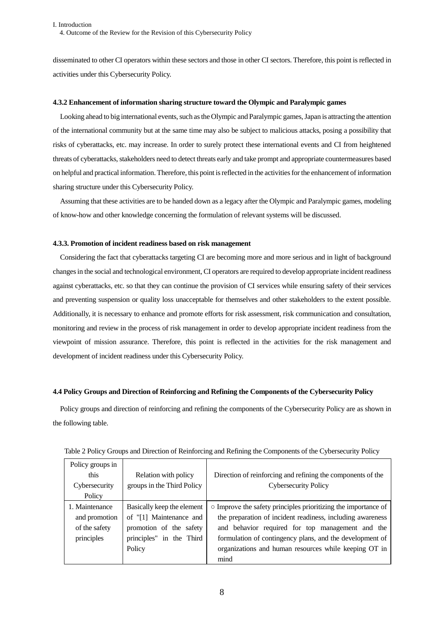disseminated to other CI operators within these sectors and those in other CI sectors. Therefore, this point is reflected in activities under this Cybersecurity Policy.

# **4.3.2 Enhancement of information sharing structure toward the Olympic and Paralympic games**

Looking ahead to big international events, such as the Olympic and Paralympic games, Japan is attracting the attention of the international community but at the same time may also be subject to malicious attacks, posing a possibility that risks of cyberattacks, etc. may increase. In order to surely protect these international events and CI from heightened threats of cyberattacks, stakeholders need to detect threats early and take prompt and appropriate countermeasures based on helpful and practical information. Therefore, this point is reflected in the activitiesfor the enhancement of information sharing structure under this Cybersecurity Policy.

Assuming that these activities are to be handed down as a legacy after the Olympic and Paralympic games, modeling of know-how and other knowledge concerning the formulation of relevant systems will be discussed.

#### **4.3.3. Promotion of incident readiness based on risk management**

Considering the fact that cyberattacks targeting CI are becoming more and more serious and in light of background changes in the social and technological environment, CI operators are required to develop appropriate incident readiness against cyberattacks, etc. so that they can continue the provision of CI services while ensuring safety of their services and preventing suspension or quality loss unacceptable for themselves and other stakeholders to the extent possible. Additionally, it is necessary to enhance and promote efforts for risk assessment, risk communication and consultation, monitoring and review in the process of risk management in order to develop appropriate incident readiness from the viewpoint of mission assurance. Therefore, this point is reflected in the activities for the risk management and development of incident readiness under this Cybersecurity Policy.

#### <span id="page-11-0"></span>**4.4 Policy Groups and Direction of Reinforcing and Refining the Components of the Cybersecurity Policy**

Policy groups and direction of reinforcing and refining the components of the Cybersecurity Policy are as shown in the following table.

| Policy groups in<br>this<br>Cybersecurity<br>Policy            | Relation with policy<br>groups in the Third Policy                                                                     | Direction of reinforcing and refining the components of the<br><b>Cybersecurity Policy</b>                                                                                                                                                                                                                  |
|----------------------------------------------------------------|------------------------------------------------------------------------------------------------------------------------|-------------------------------------------------------------------------------------------------------------------------------------------------------------------------------------------------------------------------------------------------------------------------------------------------------------|
| 1. Maintenance<br>and promotion<br>of the safety<br>principles | Basically keep the element<br>of "[1] Maintenance and<br>promotion of the safety<br>principles" in the Third<br>Policy | $\circ$ Improve the safety principles prioritizing the importance of<br>the preparation of incident readiness, including awareness<br>and behavior required for top management and the<br>formulation of contingency plans, and the development of<br>organizations and human resources while keeping OT in |
|                                                                |                                                                                                                        | mind                                                                                                                                                                                                                                                                                                        |

| Table 2 Policy Groups and Direction of Reinforcing and Refining the Components of the Cybersecurity Policy |  |  |
|------------------------------------------------------------------------------------------------------------|--|--|
|                                                                                                            |  |  |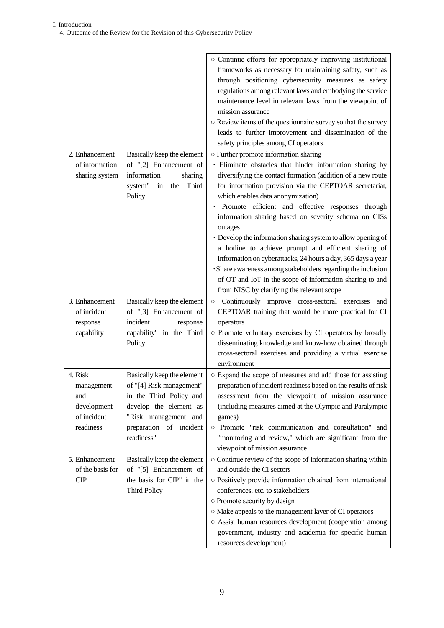|                                                                         |                                                                                                                                                                              | o Continue efforts for appropriately improving institutional<br>frameworks as necessary for maintaining safety, such as<br>through positioning cybersecurity measures as safety<br>regulations among relevant laws and embodying the service<br>maintenance level in relevant laws from the viewpoint of<br>mission assurance<br>O Review items of the questionnaire survey so that the survey<br>leads to further improvement and dissemination of the<br>safety principles among CI operators                                                                                                                                                                                                                                                             |
|-------------------------------------------------------------------------|------------------------------------------------------------------------------------------------------------------------------------------------------------------------------|-------------------------------------------------------------------------------------------------------------------------------------------------------------------------------------------------------------------------------------------------------------------------------------------------------------------------------------------------------------------------------------------------------------------------------------------------------------------------------------------------------------------------------------------------------------------------------------------------------------------------------------------------------------------------------------------------------------------------------------------------------------|
| 2. Enhancement<br>of information<br>sharing system                      | Basically keep the element<br>of "[2] Enhancement of<br>information<br>sharing<br>system"<br>in the Third<br>Policy                                                          | o Further promote information sharing<br>· Eliminate obstacles that hinder information sharing by<br>diversifying the contact formation (addition of a new route<br>for information provision via the CEPTOAR secretariat,<br>which enables data anonymization)<br>· Promote efficient and effective responses through<br>information sharing based on severity schema on CISs<br>outages<br>• Develop the information sharing system to allow opening of<br>a hotline to achieve prompt and efficient sharing of<br>information on cyberattacks, 24 hours a day, 365 days a year<br>· Share awareness among stakeholders regarding the inclusion<br>of OT and IoT in the scope of information sharing to and<br>from NISC by clarifying the relevant scope |
| 3. Enhancement<br>of incident<br>response<br>capability                 | Basically keep the element<br>of "[3] Enhancement of<br>incident<br>response<br>capability" in the Third<br>Policy                                                           | o Continuously improve cross-sectoral exercises and<br>CEPTOAR training that would be more practical for CI<br>operators<br>o Promote voluntary exercises by CI operators by broadly<br>disseminating knowledge and know-how obtained through<br>cross-sectoral exercises and providing a virtual exercise<br>environment                                                                                                                                                                                                                                                                                                                                                                                                                                   |
| 4. Risk<br>management<br>and<br>development<br>of incident<br>readiness | Basically keep the element<br>of "[4] Risk management"<br>in the Third Policy and<br>develop the element as<br>"Risk management and<br>preparation of incident<br>readiness" | o Expand the scope of measures and add those for assisting<br>preparation of incident readiness based on the results of risk<br>assessment from the viewpoint of mission assurance<br>(including measures aimed at the Olympic and Paralympic<br>games)<br>o Promote "risk communication and consultation" and<br>"monitoring and review," which are significant from the<br>viewpoint of mission assurance                                                                                                                                                                                                                                                                                                                                                 |
| 5. Enhancement<br>of the basis for<br>CIP                               | Basically keep the element<br>of "[5] Enhancement of<br>the basis for CIP" in the<br><b>Third Policy</b>                                                                     | ○ Continue review of the scope of information sharing within<br>and outside the CI sectors<br>o Positively provide information obtained from international<br>conferences, etc. to stakeholders<br>o Promote security by design<br>O Make appeals to the management layer of CI operators<br>o Assist human resources development (cooperation among<br>government, industry and academia for specific human<br>resources development)                                                                                                                                                                                                                                                                                                                      |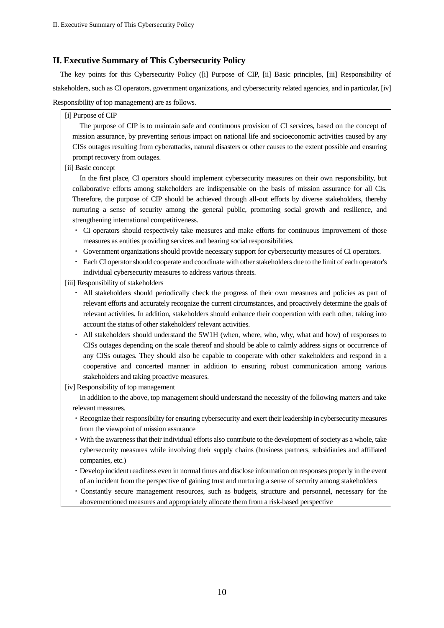# <span id="page-13-0"></span>**II. Executive Summary of This Cybersecurity Policy**

The key points for this Cybersecurity Policy ([i] Purpose of CIP, [ii] Basic principles, [iii] Responsibility of stakeholders, such as CI operators, government organizations, and cybersecurity related agencies, and in particular, [iv] Responsibility of top management) are as follows.

[i] Purpose of CIP

The purpose of CIP is to maintain safe and continuous provision of CI services, based on the concept of mission assurance, by preventing serious impact on national life and socioeconomic activities caused by any CISs outages resulting from cyberattacks, natural disasters or other causes to the extent possible and ensuring prompt recovery from outages.

# [ii] Basic concept

In the first place, CI operators should implement cybersecurity measures on their own responsibility, but collaborative efforts among stakeholders are indispensable on the basis of mission assurance for all CIs. Therefore, the purpose of CIP should be achieved through all-out efforts by diverse stakeholders, thereby nurturing a sense of security among the general public, promoting social growth and resilience, and strengthening international competitiveness.

- ・ CI operators should respectively take measures and make efforts for continuous improvement of those measures as entities providing services and bearing social responsibilities.
- Government organizations should provide necessary support for cybersecurity measures of CI operators.
- ・ Each CI operator should cooperate and coordinate with other stakeholders due to the limit of each operator's individual cybersecurity measures to address various threats.

[iii] Responsibility of stakeholders

- ・ All stakeholders should periodically check the progress of their own measures and policies as part of relevant efforts and accurately recognize the current circumstances, and proactively determine the goals of relevant activities. In addition, stakeholders should enhance their cooperation with each other, taking into account the status of other stakeholders' relevant activities.
- ・ All stakeholders should understand the 5W1H (when, where, who, why, what and how) of responses to CISs outages depending on the scale thereof and should be able to calmly address signs or occurrence of any CISs outages. They should also be capable to cooperate with other stakeholders and respond in a cooperative and concerted manner in addition to ensuring robust communication among various stakeholders and taking proactive measures.
- [iv] Responsibility of top management

In addition to the above, top management should understand the necessity of the following matters and take relevant measures.

- ・Recognize their responsibility for ensuring cybersecurity and exert their leadership in cybersecurity measures from the viewpoint of mission assurance
- ・With the awareness that their individual efforts also contribute to the development of society as a whole, take cybersecurity measures while involving their supply chains (business partners, subsidiaries and affiliated companies, etc.)
- ・Develop incident readiness even in normal times and disclose information on responses properly in the event of an incident from the perspective of gaining trust and nurturing a sense of security among stakeholders
- ・Constantly secure management resources, such as budgets, structure and personnel, necessary for the abovementioned measures and appropriately allocate them from a risk-based perspective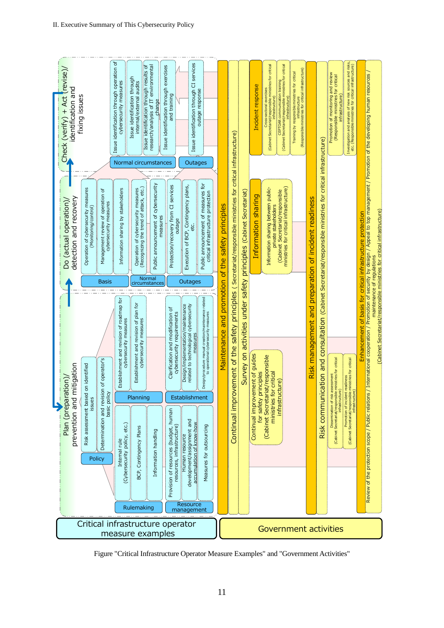

Figure "Critical Infrastructure Operator Measure Examples" and "Government Activities"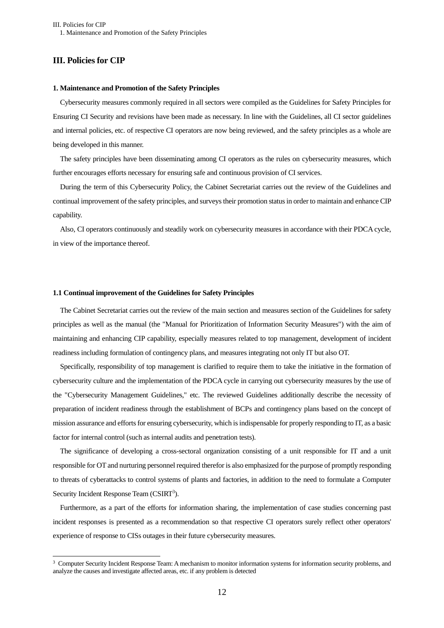# <span id="page-15-1"></span><span id="page-15-0"></span>**III. Policies for CIP**

 $\overline{a}$ 

#### **1. Maintenance and Promotion of the Safety Principles**

Cybersecurity measures commonly required in all sectors were compiled as the Guidelines for Safety Principles for Ensuring CI Security and revisions have been made as necessary. In line with the Guidelines, all CI sector guidelines and internal policies, etc. of respective CI operators are now being reviewed, and the safety principles as a whole are being developed in this manner.

The safety principles have been disseminating among CI operators as the rules on cybersecurity measures, which further encourages efforts necessary for ensuring safe and continuous provision of CI services.

During the term of this Cybersecurity Policy, the Cabinet Secretariat carries out the review of the Guidelines and continual improvement of the safety principles, and surveys their promotion status in order to maintain and enhance CIP capability.

Also, CI operators continuously and steadily work on cybersecurity measures in accordance with their PDCA cycle, in view of the importance thereof.

#### <span id="page-15-2"></span>**1.1 Continual improvement of the Guidelines for Safety Principles**

The Cabinet Secretariat carries out the review of the main section and measures section of the Guidelines for safety principles as well as the manual (the "Manual for Prioritization of Information Security Measures") with the aim of maintaining and enhancing CIP capability, especially measures related to top management, development of incident readiness including formulation of contingency plans, and measures integrating not only IT but also OT.

Specifically, responsibility of top management is clarified to require them to take the initiative in the formation of cybersecurity culture and the implementation of the PDCA cycle in carrying out cybersecurity measures by the use of the "Cybersecurity Management Guidelines," etc. The reviewed Guidelines additionally describe the necessity of preparation of incident readiness through the establishment of BCPs and contingency plans based on the concept of mission assurance and efforts for ensuring cybersecurity, which is indispensable for properly responding to IT, as a basic factor for internal control (such as internal audits and penetration tests).

The significance of developing a cross-sectoral organization consisting of a unit responsible for IT and a unit responsible for OT and nurturing personnel required therefor is also emphasized for the purpose of promptly responding to threats of cyberattacks to control systems of plants and factories, in addition to the need to formulate a Computer Security Incident Response Team (CSIRT<sup>3</sup>).

Furthermore, as a part of the efforts for information sharing, the implementation of case studies concerning past incident responses is presented as a recommendation so that respective CI operators surely reflect other operators' experience of response to CISs outages in their future cybersecurity measures.

<sup>&</sup>lt;sup>3</sup> Computer Security Incident Response Team: A mechanism to monitor information systems for information security problems, and analyze the causes and investigate affected areas, etc. if any problem is detected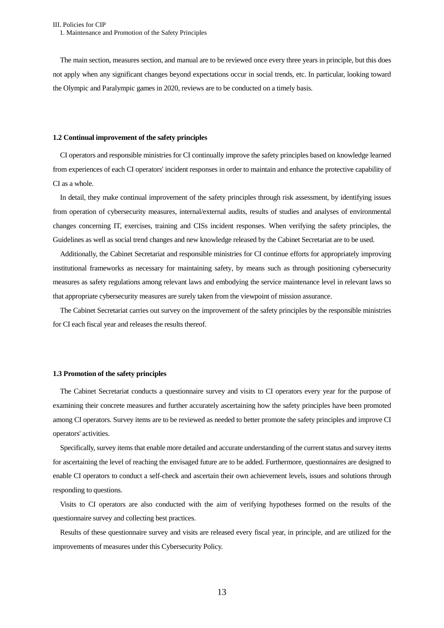The main section, measures section, and manual are to be reviewed once every three years in principle, but this does not apply when any significant changes beyond expectations occur in social trends, etc. In particular, looking toward the Olympic and Paralympic games in 2020, reviews are to be conducted on a timely basis.

#### <span id="page-16-0"></span>**1.2 Continual improvement of the safety principles**

CI operators and responsible ministries for CI continually improve the safety principles based on knowledge learned from experiences of each CI operators' incident responses in order to maintain and enhance the protective capability of CI as a whole.

In detail, they make continual improvement of the safety principles through risk assessment, by identifying issues from operation of cybersecurity measures, internal/external audits, results of studies and analyses of environmental changes concerning IT, exercises, training and CISs incident responses. When verifying the safety principles, the Guidelines as well as social trend changes and new knowledge released by the Cabinet Secretariat are to be used.

Additionally, the Cabinet Secretariat and responsible ministries for CI continue efforts for appropriately improving institutional frameworks as necessary for maintaining safety, by means such as through positioning cybersecurity measures as safety regulations among relevant laws and embodying the service maintenance level in relevant laws so that appropriate cybersecurity measures are surely taken from the viewpoint of mission assurance.

The Cabinet Secretariat carries out survey on the improvement of the safety principles by the responsible ministries for CI each fiscal year and releases the results thereof.

#### <span id="page-16-1"></span>**1.3 Promotion of the safety principles**

The Cabinet Secretariat conducts a questionnaire survey and visits to CI operators every year for the purpose of examining their concrete measures and further accurately ascertaining how the safety principles have been promoted among CI operators. Survey items are to be reviewed as needed to better promote the safety principles and improve CI operators' activities.

Specifically, survey items that enable more detailed and accurate understanding of the current status and survey items for ascertaining the level of reaching the envisaged future are to be added. Furthermore, questionnaires are designed to enable CI operators to conduct a self-check and ascertain their own achievement levels, issues and solutions through responding to questions.

Visits to CI operators are also conducted with the aim of verifying hypotheses formed on the results of the questionnaire survey and collecting best practices.

Results of these questionnaire survey and visits are released every fiscal year, in principle, and are utilized for the improvements of measures under this Cybersecurity Policy.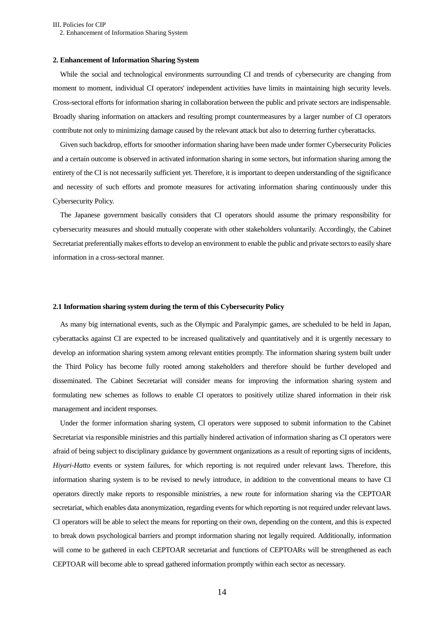III. Policies for CIP 2. Enhancement of Information Sharing System

#### <span id="page-17-0"></span>**2. Enhancement of Information Sharing System**

While the social and technological environments surrounding CI and trends of cybersecurity are changing from moment to moment, individual CI operators' independent activities have limits in maintaining high security levels. Cross-sectoral efforts for information sharing in collaboration between the public and private sectors are indispensable. Broadly sharing information on attackers and resulting prompt countermeasures by a larger number of CI operators contribute not only to minimizing damage caused by the relevant attack but also to deterring further cyberattacks.

Given such backdrop, efforts for smoother information sharing have been made under former Cybersecurity Policies and a certain outcome is observed in activated information sharing in some sectors, but information sharing among the entirety of the CI is not necessarily sufficient yet. Therefore, it is important to deepen understanding of the significance and necessity of such efforts and promote measures for activating information sharing continuously under this Cybersecurity Policy.

The Japanese government basically considers that CI operators should assume the primary responsibility for cybersecurity measures and should mutually cooperate with other stakeholders voluntarily. Accordingly, the Cabinet Secretariat preferentially makes efforts to develop an environment to enable the public and private sectors to easily share information in a cross-sectoral manner.

#### <span id="page-17-1"></span>**2.1 Information sharing system during the term of this Cybersecurity Policy**

As many big international events, such as the Olympic and Paralympic games, are scheduled to be held in Japan, cyberattacks against CI are expected to be increased qualitatively and quantitatively and it is urgently necessary to develop an information sharing system among relevant entities promptly. The information sharing system built under the Third Policy has become fully rooted among stakeholders and therefore should be further developed and disseminated. The Cabinet Secretariat will consider means for improving the information sharing system and formulating new schemes as follows to enable CI operators to positively utilize shared information in their risk management and incident responses.

Under the former information sharing system, CI operators were supposed to submit information to the Cabinet Secretariat via responsible ministries and this partially hindered activation of information sharing as CI operators were afraid of being subject to disciplinary guidance by government organizations as a result of reporting signs of incidents, *Hiyari-Hatto* events or system failures, for which reporting is not required under relevant laws. Therefore, this information sharing system is to be revised to newly introduce, in addition to the conventional means to have CI operators directly make reports to responsible ministries, a new route for information sharing via the CEPTOAR secretariat, which enables data anonymization, regarding events for which reporting is not required under relevant laws. CI operators will be able to select the means for reporting on their own, depending on the content, and this is expected to break down psychological barriers and prompt information sharing not legally required. Additionally, information will come to be gathered in each CEPTOAR secretariat and functions of CEPTOARs will be strengthened as each CEPTOAR will become able to spread gathered information promptly within each sector as necessary.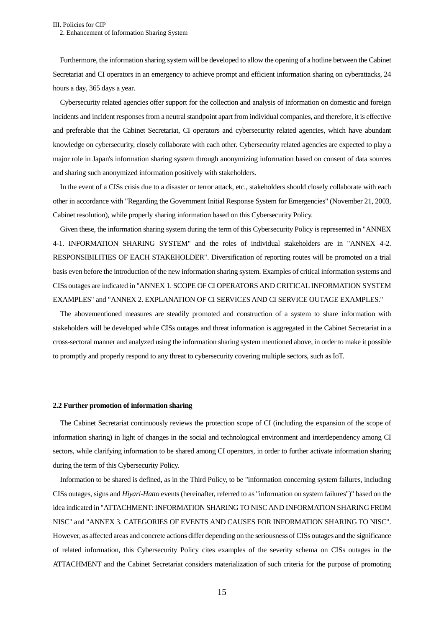Furthermore, the information sharing system will be developed to allow the opening of a hotline between the Cabinet Secretariat and CI operators in an emergency to achieve prompt and efficient information sharing on cyberattacks, 24 hours a day, 365 days a year.

Cybersecurity related agencies offer support for the collection and analysis of information on domestic and foreign incidents and incident responses from a neutral standpoint apart from individual companies, and therefore, it is effective and preferable that the Cabinet Secretariat, CI operators and cybersecurity related agencies, which have abundant knowledge on cybersecurity, closely collaborate with each other. Cybersecurity related agencies are expected to play a major role in Japan's information sharing system through anonymizing information based on consent of data sources and sharing such anonymized information positively with stakeholders.

In the event of a CISs crisis due to a disaster or terror attack, etc., stakeholders should closely collaborate with each other in accordance with "Regarding the Government Initial Response System for Emergencies" (November 21, 2003, Cabinet resolution), while properly sharing information based on this Cybersecurity Policy.

Given these, the information sharing system during the term of this Cybersecurity Policy is represented in "ANNEX 4-1. INFORMATION SHARING SYSTEM" and the roles of individual stakeholders are in "ANNEX 4-2. RESPONSIBILITIES OF EACH STAKEHOLDER". Diversification of reporting routes will be promoted on a trial basis even before the introduction of the new information sharing system. Examples of critical information systems and CISs outages are indicated in "ANNEX 1. SCOPE OF CI OPERATORS AND CRITICAL INFORMATION SYSTEM EXAMPLES" and "ANNEX 2. EXPLANATION OF CI SERVICES AND CI SERVICE OUTAGE EXAMPLES."

The abovementioned measures are steadily promoted and construction of a system to share information with stakeholders will be developed while CISs outages and threat information is aggregated in the Cabinet Secretariat in a cross-sectoral manner and analyzed using the information sharing system mentioned above, in order to make it possible to promptly and properly respond to any threat to cybersecurity covering multiple sectors, such as IoT.

#### <span id="page-18-0"></span>**2.2 Further promotion of information sharing**

The Cabinet Secretariat continuously reviews the protection scope of CI (including the expansion of the scope of information sharing) in light of changes in the social and technological environment and interdependency among CI sectors, while clarifying information to be shared among CI operators, in order to further activate information sharing during the term of this Cybersecurity Policy.

Information to be shared is defined, as in the Third Policy, to be "information concerning system failures, including CISs outages, signs and *Hiyari-Hatto* events (hereinafter, referred to as "information on system failures")" based on the idea indicated in "ATTACHMENT: INFORMATION SHARING TO NISC AND INFORMATION SHARING FROM NISC" and "ANNEX 3. CATEGORIES OF EVENTS AND CAUSES FOR INFORMATION SHARING TO NISC". However, as affected areas and concrete actions differ depending on the seriousness of CISs outages and the significance of related information, this Cybersecurity Policy cites examples of the severity schema on CISs outages in the ATTACHMENT and the Cabinet Secretariat considers materialization of such criteria for the purpose of promoting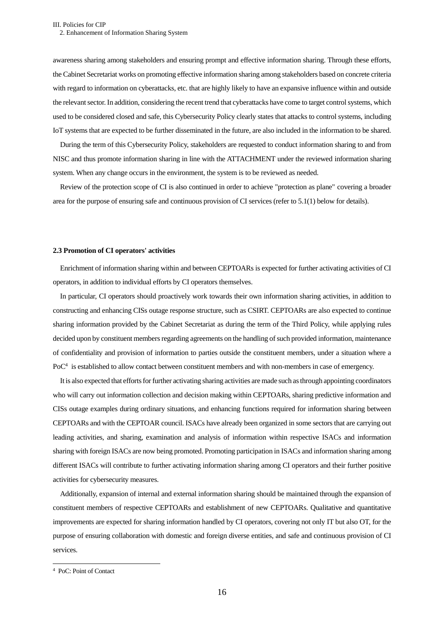awareness sharing among stakeholders and ensuring prompt and effective information sharing. Through these efforts, the Cabinet Secretariat works on promoting effective information sharing among stakeholders based on concrete criteria with regard to information on cyberattacks, etc. that are highly likely to have an expansive influence within and outside the relevant sector. In addition, considering the recent trend that cyberattacks have come to target control systems, which used to be considered closed and safe, this Cybersecurity Policy clearly states that attacks to control systems, including IoT systems that are expected to be further disseminated in the future, are also included in the information to be shared.

During the term of this Cybersecurity Policy, stakeholders are requested to conduct information sharing to and from NISC and thus promote information sharing in line with the ATTACHMENT under the reviewed information sharing system. When any change occurs in the environment, the system is to be reviewed as needed.

Review of the protection scope of CI is also continued in order to achieve "protection as plane" covering a broader area for the purpose of ensuring safe and continuous provision of CI services (refer to 5.1(1) below for details).

#### <span id="page-19-0"></span>**2.3 Promotion of CI operators' activities**

Enrichment of information sharing within and between CEPTOARs is expected for further activating activities of CI operators, in addition to individual efforts by CI operators themselves.

In particular, CI operators should proactively work towards their own information sharing activities, in addition to constructing and enhancing CISs outage response structure, such as CSIRT. CEPTOARs are also expected to continue sharing information provided by the Cabinet Secretariat as during the term of the Third Policy, while applying rules decided upon by constituent members regarding agreements on the handling of such provided information, maintenance of confidentiality and provision of information to parties outside the constituent members, under a situation where a PoC<sup>4</sup> is established to allow contact between constituent members and with non-members in case of emergency.

It is also expected that efforts for further activating sharing activities are made such asthrough appointing coordinators who will carry out information collection and decision making within CEPTOARs, sharing predictive information and CISs outage examples during ordinary situations, and enhancing functions required for information sharing between CEPTOARs and with the CEPTOAR council. ISACs have already been organized in some sectors that are carrying out leading activities, and sharing, examination and analysis of information within respective ISACs and information sharing with foreign ISACs are now being promoted. Promoting participation in ISACs and information sharing among different ISACs will contribute to further activating information sharing among CI operators and their further positive activities for cybersecurity measures.

Additionally, expansion of internal and external information sharing should be maintained through the expansion of constituent members of respective CEPTOARs and establishment of new CEPTOARs. Qualitative and quantitative improvements are expected for sharing information handled by CI operators, covering not only IT but also OT, for the purpose of ensuring collaboration with domestic and foreign diverse entities, and safe and continuous provision of CI services.

<sup>4</sup> PoC: Point of Contact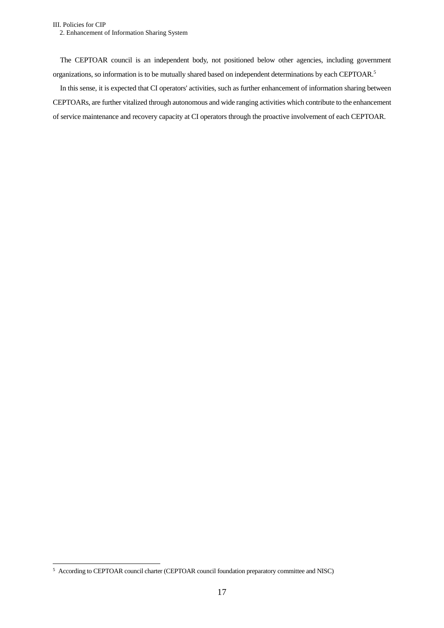The CEPTOAR council is an independent body, not positioned below other agencies, including government organizations, so information is to be mutually shared based on independent determinations by each CEPTOAR. 5

In this sense, it is expected that CI operators' activities, such as further enhancement of information sharing between CEPTOARs, are further vitalized through autonomous and wide ranging activities which contribute to the enhancement of service maintenance and recovery capacity at CI operators through the proactive involvement of each CEPTOAR.

<sup>&</sup>lt;sup>5</sup> According to CEPTOAR council charter (CEPTOAR council foundation preparatory committee and NISC)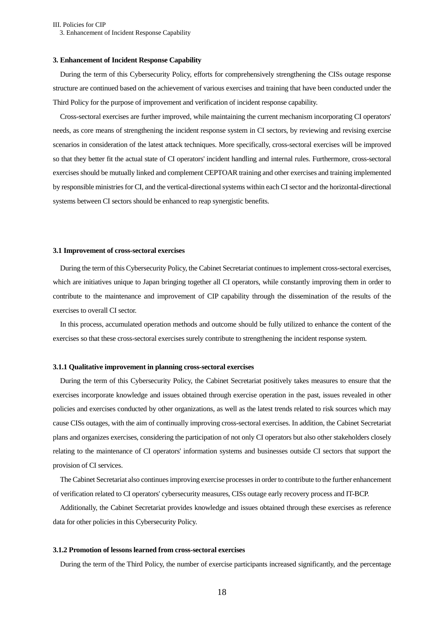III. Policies for CIP 3. Enhancement of Incident Response Capability

#### <span id="page-21-0"></span>**3. Enhancement of Incident Response Capability**

During the term of this Cybersecurity Policy, efforts for comprehensively strengthening the CISs outage response structure are continued based on the achievement of various exercises and training that have been conducted under the Third Policy for the purpose of improvement and verification of incident response capability.

Cross-sectoral exercises are further improved, while maintaining the current mechanism incorporating CI operators' needs, as core means of strengthening the incident response system in CI sectors, by reviewing and revising exercise scenarios in consideration of the latest attack techniques. More specifically, cross-sectoral exercises will be improved so that they better fit the actual state of CI operators' incident handling and internal rules. Furthermore, cross-sectoral exercises should be mutually linked and complement CEPTOAR training and other exercises and training implemented by responsible ministries for CI, and the vertical-directional systems within each CI sector and the horizontal-directional systems between CI sectors should be enhanced to reap synergistic benefits.

#### <span id="page-21-1"></span>**3.1 Improvement of cross-sectoral exercises**

During the term of this Cybersecurity Policy, the Cabinet Secretariat continues to implement cross-sectoral exercises, which are initiatives unique to Japan bringing together all CI operators, while constantly improving them in order to contribute to the maintenance and improvement of CIP capability through the dissemination of the results of the exercises to overall CI sector.

In this process, accumulated operation methods and outcome should be fully utilized to enhance the content of the exercises so that these cross-sectoral exercises surely contribute to strengthening the incident response system.

#### **3.1.1 Qualitative improvement in planning cross-sectoral exercises**

During the term of this Cybersecurity Policy, the Cabinet Secretariat positively takes measures to ensure that the exercises incorporate knowledge and issues obtained through exercise operation in the past, issues revealed in other policies and exercises conducted by other organizations, as well as the latest trends related to risk sources which may cause CISs outages, with the aim of continually improving cross-sectoral exercises. In addition, the Cabinet Secretariat plans and organizes exercises, considering the participation of not only CI operators but also other stakeholders closely relating to the maintenance of CI operators' information systems and businesses outside CI sectors that support the provision of CI services.

The Cabinet Secretariat also continues improving exercise processesin order to contribute to the further enhancement of verification related to CI operators' cybersecurity measures, CISs outage early recovery process and IT-BCP.

Additionally, the Cabinet Secretariat provides knowledge and issues obtained through these exercises as reference data for other policies in this Cybersecurity Policy.

#### **3.1.2 Promotion of lessons learned from cross-sectoral exercises**

During the term of the Third Policy, the number of exercise participants increased significantly, and the percentage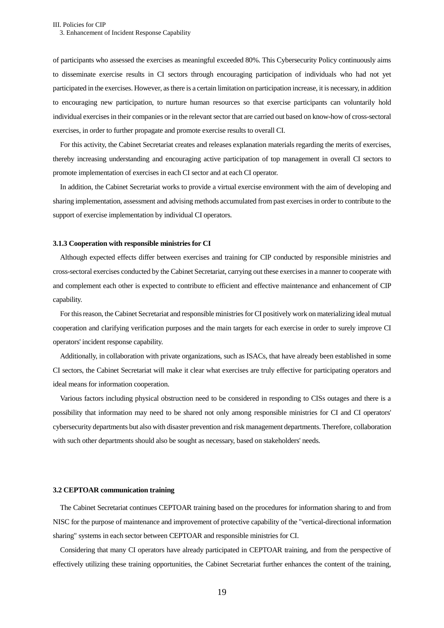of participants who assessed the exercises as meaningful exceeded 80%. This Cybersecurity Policy continuously aims to disseminate exercise results in CI sectors through encouraging participation of individuals who had not yet participated in the exercises. However, as there is a certain limitation on participation increase, it is necessary, in addition to encouraging new participation, to nurture human resources so that exercise participants can voluntarily hold individual exercises in their companies or in the relevant sector that are carried out based on know-how of cross-sectoral exercises, in order to further propagate and promote exercise results to overall CI.

For this activity, the Cabinet Secretariat creates and releases explanation materials regarding the merits of exercises, thereby increasing understanding and encouraging active participation of top management in overall CI sectors to promote implementation of exercises in each CI sector and at each CI operator.

In addition, the Cabinet Secretariat works to provide a virtual exercise environment with the aim of developing and sharing implementation, assessment and advising methods accumulated from past exercises in order to contribute to the support of exercise implementation by individual CI operators.

#### **3.1.3 Cooperation with responsible ministries for CI**

Although expected effects differ between exercises and training for CIP conducted by responsible ministries and cross-sectoral exercises conducted by the Cabinet Secretariat, carrying out these exercises in a manner to cooperate with and complement each other is expected to contribute to efficient and effective maintenance and enhancement of CIP capability.

For this reason, the Cabinet Secretariat and responsible ministries for CI positively work on materializing ideal mutual cooperation and clarifying verification purposes and the main targets for each exercise in order to surely improve CI operators' incident response capability.

Additionally, in collaboration with private organizations, such as ISACs, that have already been established in some CI sectors, the Cabinet Secretariat will make it clear what exercises are truly effective for participating operators and ideal means for information cooperation.

Various factors including physical obstruction need to be considered in responding to CISs outages and there is a possibility that information may need to be shared not only among responsible ministries for CI and CI operators' cybersecurity departments but also with disaster prevention and risk management departments. Therefore, collaboration with such other departments should also be sought as necessary, based on stakeholders' needs.

#### <span id="page-22-0"></span>**3.2 CEPTOAR communication training**

The Cabinet Secretariat continues CEPTOAR training based on the procedures for information sharing to and from NISC for the purpose of maintenance and improvement of protective capability of the "vertical-directional information sharing" systems in each sector between CEPTOAR and responsible ministries for CI.

Considering that many CI operators have already participated in CEPTOAR training, and from the perspective of effectively utilizing these training opportunities, the Cabinet Secretariat further enhances the content of the training,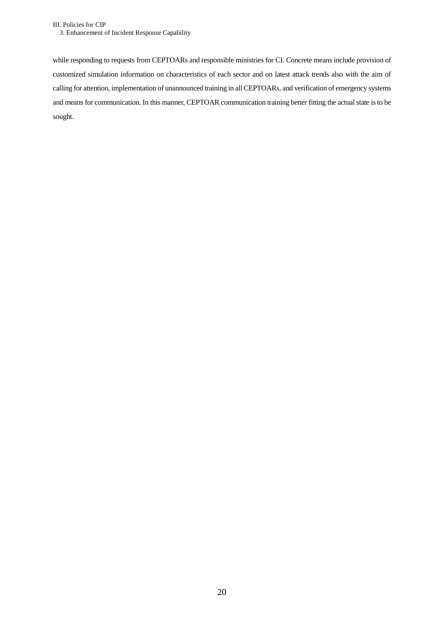while responding to requests from CEPTOARs and responsible ministries for CI. Concrete means include provision of customized simulation information on characteristics of each sector and on latest attack trends also with the aim of calling for attention, implementation of unannounced training in all CEPTOARs, and verification of emergency systems and means for communication. In this manner, CEPTOAR communication training better fitting the actual state is to be sought.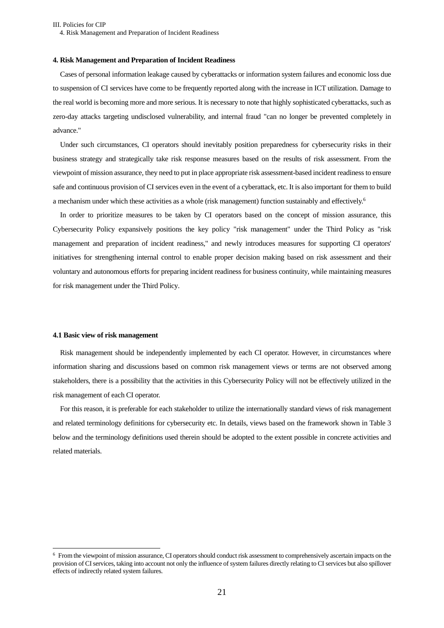#### <span id="page-24-0"></span>**4. Risk Management and Preparation of Incident Readiness**

Cases of personal information leakage caused by cyberattacks or information system failures and economic loss due to suspension of CI services have come to be frequently reported along with the increase in ICT utilization. Damage to the real world is becoming more and more serious. It is necessary to note that highly sophisticated cyberattacks, such as zero-day attacks targeting undisclosed vulnerability, and internal fraud "can no longer be prevented completely in advance."

Under such circumstances, CI operators should inevitably position preparedness for cybersecurity risks in their business strategy and strategically take risk response measures based on the results of risk assessment. From the viewpoint of mission assurance, they need to put in place appropriate risk assessment-based incident readinessto ensure safe and continuous provision of CI services even in the event of a cyberattack, etc. It is also important for them to build a mechanism under which these activities as a whole (risk management) function sustainably and effectively.<sup>6</sup>

In order to prioritize measures to be taken by CI operators based on the concept of mission assurance, this Cybersecurity Policy expansively positions the key policy "risk management" under the Third Policy as "risk management and preparation of incident readiness," and newly introduces measures for supporting CI operators' initiatives for strengthening internal control to enable proper decision making based on risk assessment and their voluntary and autonomous efforts for preparing incident readiness for business continuity, while maintaining measures for risk management under the Third Policy.

#### <span id="page-24-1"></span>**4.1 Basic view of risk management**

 $\overline{a}$ 

Risk management should be independently implemented by each CI operator. However, in circumstances where information sharing and discussions based on common risk management views or terms are not observed among stakeholders, there is a possibility that the activities in this Cybersecurity Policy will not be effectively utilized in the risk management of each CI operator.

For this reason, it is preferable for each stakeholder to utilize the internationally standard views of risk management and related terminology definitions for cybersecurity etc. In details, views based on the framework shown in Table 3 below and the terminology definitions used therein should be adopted to the extent possible in concrete activities and related materials.

<sup>6</sup> From the viewpoint of mission assurance, CI operators should conduct risk assessment to comprehensively ascertain impacts on the provision of CI services, taking into account not only the influence of system failures directly relating to CI services but also spillover effects of indirectly related system failures.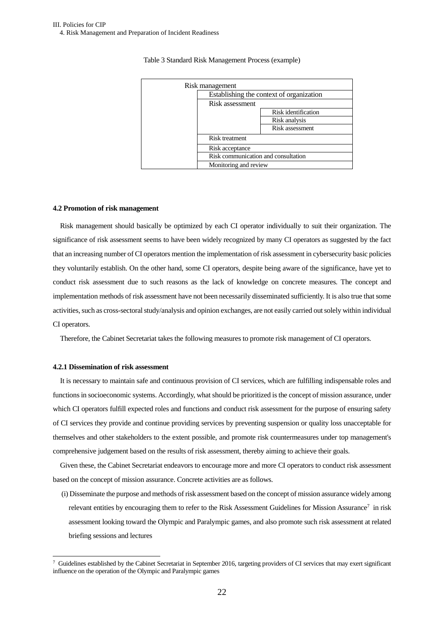# Table 3 Standard Risk Management Process (example)

| Risk management                     |                                          |
|-------------------------------------|------------------------------------------|
|                                     | Establishing the context of organization |
| Risk assessment                     |                                          |
|                                     | Risk identification                      |
|                                     | Risk analysis                            |
|                                     | Risk assessment                          |
| Risk treatment                      |                                          |
| Risk acceptance                     |                                          |
| Risk communication and consultation |                                          |
| Monitoring and review               |                                          |

#### <span id="page-25-0"></span>**4.2 Promotion of risk management**

Risk management should basically be optimized by each CI operator individually to suit their organization. The significance of risk assessment seems to have been widely recognized by many CI operators as suggested by the fact that an increasing number of CI operators mention the implementation of risk assessment in cybersecurity basic policies they voluntarily establish. On the other hand, some CI operators, despite being aware of the significance, have yet to conduct risk assessment due to such reasons as the lack of knowledge on concrete measures. The concept and implementation methods of risk assessment have not been necessarily disseminated sufficiently. It is also true that some activities, such as cross-sectoral study/analysis and opinion exchanges, are not easily carried outsolely within individual CI operators.

Therefore, the Cabinet Secretariat takes the following measures to promote risk management of CI operators.

#### **4.2.1 Dissemination of risk assessment**

 $\overline{a}$ 

It is necessary to maintain safe and continuous provision of CI services, which are fulfilling indispensable roles and functions in socioeconomic systems. Accordingly, what should be prioritized is the concept of mission assurance, under which CI operators fulfill expected roles and functions and conduct risk assessment for the purpose of ensuring safety of CI services they provide and continue providing services by preventing suspension or quality loss unacceptable for themselves and other stakeholders to the extent possible, and promote risk countermeasures under top management's comprehensive judgement based on the results of risk assessment, thereby aiming to achieve their goals.

Given these, the Cabinet Secretariat endeavors to encourage more and more CI operators to conduct risk assessment based on the concept of mission assurance. Concrete activities are as follows.

(i) Disseminate the purpose and methods of risk assessment based on the concept of mission assurance widely among relevant entities by encouraging them to refer to the Risk Assessment Guidelines for Mission Assurance<sup>7</sup> in risk assessment looking toward the Olympic and Paralympic games, and also promote such risk assessment at related briefing sessions and lectures

 $\frac{7}{10}$  Guidelines established by the Cabinet Secretariat in September 2016, targeting providers of CI services that may exert significant influence on the operation of the Olympic and Paralympic games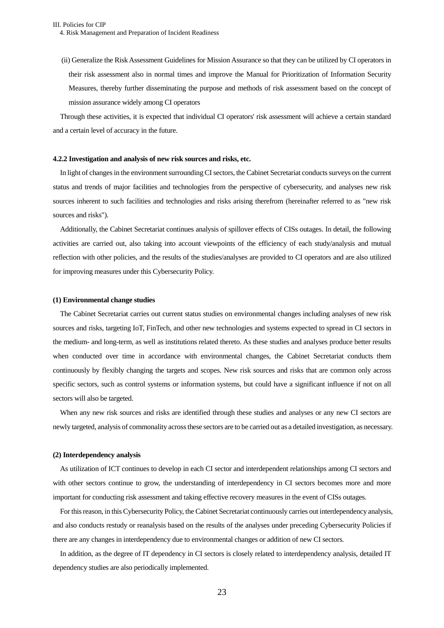(ii) Generalize the Risk Assessment Guidelines for Mission Assurance so that they can be utilized by CI operators in their risk assessment also in normal times and improve the Manual for Prioritization of Information Security Measures, thereby further disseminating the purpose and methods of risk assessment based on the concept of mission assurance widely among CI operators

Through these activities, it is expected that individual CI operators' risk assessment will achieve a certain standard and a certain level of accuracy in the future.

#### **4.2.2 Investigation and analysis of new risk sources and risks, etc.**

In light of changes in the environment surrounding CI sectors, the Cabinet Secretariat conducts surveys on the current status and trends of major facilities and technologies from the perspective of cybersecurity, and analyses new risk sources inherent to such facilities and technologies and risks arising therefrom (hereinafter referred to as "new risk sources and risks").

Additionally, the Cabinet Secretariat continues analysis of spillover effects of CISs outages. In detail, the following activities are carried out, also taking into account viewpoints of the efficiency of each study/analysis and mutual reflection with other policies, and the results of the studies/analyses are provided to CI operators and are also utilized for improving measures under this Cybersecurity Policy.

#### **(1) Environmental change studies**

The Cabinet Secretariat carries out current status studies on environmental changes including analyses of new risk sources and risks, targeting IoT, FinTech, and other new technologies and systems expected to spread in CI sectors in the medium- and long-term, as well as institutions related thereto. As these studies and analyses produce better results when conducted over time in accordance with environmental changes, the Cabinet Secretariat conducts them continuously by flexibly changing the targets and scopes. New risk sources and risks that are common only across specific sectors, such as control systems or information systems, but could have a significant influence if not on all sectors will also be targeted.

When any new risk sources and risks are identified through these studies and analyses or any new CI sectors are newly targeted, analysis of commonality across these sectors are to be carried out as a detailed investigation, as necessary.

#### **(2) Interdependency analysis**

As utilization of ICT continues to develop in each CI sector and interdependent relationships among CI sectors and with other sectors continue to grow, the understanding of interdependency in CI sectors becomes more and more important for conducting risk assessment and taking effective recovery measures in the event of CISs outages.

For this reason, in this Cybersecurity Policy, the Cabinet Secretariat continuously carries out interdependency analysis, and also conducts restudy or reanalysis based on the results of the analyses under preceding Cybersecurity Policies if there are any changes in interdependency due to environmental changes or addition of new CI sectors.

In addition, as the degree of IT dependency in CI sectors is closely related to interdependency analysis, detailed IT dependency studies are also periodically implemented.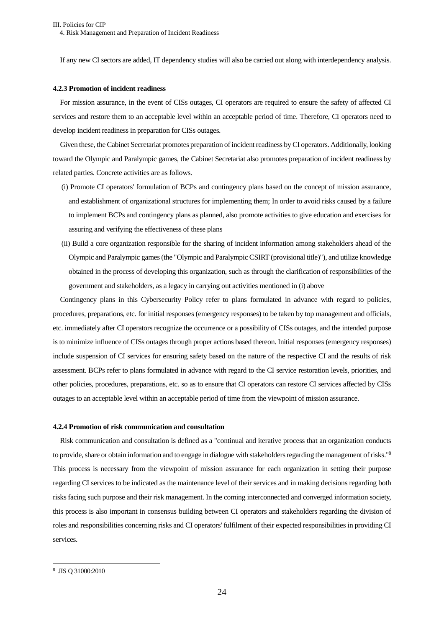If any new CI sectors are added, IT dependency studies will also be carried out along with interdependency analysis.

#### **4.2.3 Promotion of incident readiness**

For mission assurance, in the event of CISs outages, CI operators are required to ensure the safety of affected CI services and restore them to an acceptable level within an acceptable period of time. Therefore, CI operators need to develop incident readiness in preparation for CISs outages.

Given these, the Cabinet Secretariat promotes preparation of incident readiness by CI operators. Additionally, looking toward the Olympic and Paralympic games, the Cabinet Secretariat also promotes preparation of incident readiness by related parties. Concrete activities are as follows.

- (i) Promote CI operators' formulation of BCPs and contingency plans based on the concept of mission assurance, and establishment of organizational structures for implementing them; In order to avoid risks caused by a failure to implement BCPs and contingency plans as planned, also promote activities to give education and exercises for assuring and verifying the effectiveness of these plans
- (ii) Build a core organization responsible for the sharing of incident information among stakeholders ahead of the Olympic and Paralympic games (the "Olympic and Paralympic CSIRT (provisional title)"), and utilize knowledge obtained in the process of developing this organization, such as through the clarification of responsibilities of the government and stakeholders, as a legacy in carrying out activities mentioned in (i) above

Contingency plans in this Cybersecurity Policy refer to plans formulated in advance with regard to policies, procedures, preparations, etc. for initial responses (emergency responses) to be taken by top management and officials, etc. immediately after CI operators recognize the occurrence or a possibility of CISs outages, and the intended purpose is to minimize influence of CISs outages through proper actions based thereon. Initial responses (emergency responses) include suspension of CI services for ensuring safety based on the nature of the respective CI and the results of risk assessment. BCPs refer to plans formulated in advance with regard to the CI service restoration levels, priorities, and other policies, procedures, preparations, etc. so as to ensure that CI operators can restore CI services affected by CISs outages to an acceptable level within an acceptable period of time from the viewpoint of mission assurance.

#### **4.2.4 Promotion of risk communication and consultation**

Risk communication and consultation is defined as a "continual and iterative process that an organization conducts to provide, share or obtain information and to engage in dialogue with stakeholders regarding the management of risks."<sup>8</sup> This process is necessary from the viewpoint of mission assurance for each organization in setting their purpose regarding CI services to be indicated as the maintenance level of their services and in making decisions regarding both risks facing such purpose and their risk management. In the coming interconnected and converged information society, this process is also important in consensus building between CI operators and stakeholders regarding the division of roles and responsibilities concerning risks and CI operators' fulfilment of their expected responsibilities in providing CI services.

<sup>8</sup> JIS Q 31000:2010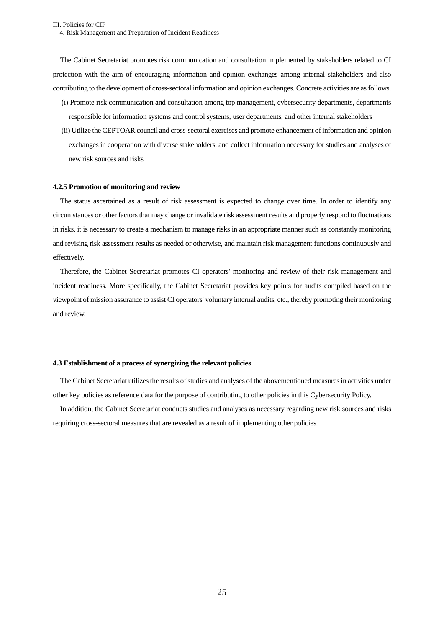The Cabinet Secretariat promotes risk communication and consultation implemented by stakeholders related to CI protection with the aim of encouraging information and opinion exchanges among internal stakeholders and also contributing to the development of cross-sectoral information and opinion exchanges. Concrete activities are as follows.

- (i) Promote risk communication and consultation among top management, cybersecurity departments, departments responsible for information systems and control systems, user departments, and other internal stakeholders
- (ii) Utilize the CEPTOAR council and cross-sectoral exercises and promote enhancement of information and opinion exchanges in cooperation with diverse stakeholders, and collect information necessary for studies and analyses of new risk sources and risks

#### **4.2.5 Promotion of monitoring and review**

The status ascertained as a result of risk assessment is expected to change over time. In order to identify any circumstances or other factors that may change or invalidate risk assessment results and properly respond to fluctuations in risks, it is necessary to create a mechanism to manage risks in an appropriate manner such as constantly monitoring and revising risk assessment results as needed or otherwise, and maintain risk management functions continuously and effectively.

Therefore, the Cabinet Secretariat promotes CI operators' monitoring and review of their risk management and incident readiness. More specifically, the Cabinet Secretariat provides key points for audits compiled based on the viewpoint of mission assurance to assist CI operators' voluntary internal audits, etc., thereby promoting their monitoring and review.

#### <span id="page-28-0"></span>**4.3 Establishment of a process of synergizing the relevant policies**

The Cabinet Secretariat utilizes the results of studies and analyses of the abovementioned measures in activities under other key policies as reference data for the purpose of contributing to other policies in this Cybersecurity Policy.

In addition, the Cabinet Secretariat conducts studies and analyses as necessary regarding new risk sources and risks requiring cross-sectoral measures that are revealed as a result of implementing other policies.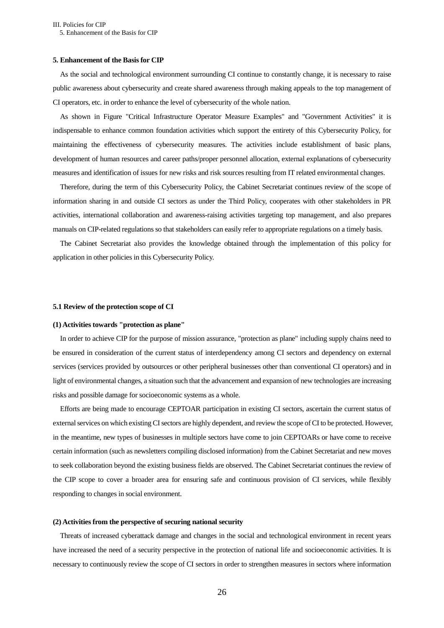#### <span id="page-29-0"></span>**5. Enhancement of the Basis for CIP**

As the social and technological environment surrounding CI continue to constantly change, it is necessary to raise public awareness about cybersecurity and create shared awareness through making appeals to the top management of CI operators, etc. in order to enhance the level of cybersecurity of the whole nation.

As shown in Figure "Critical Infrastructure Operator Measure Examples" and "Government Activities" it is indispensable to enhance common foundation activities which support the entirety of this Cybersecurity Policy, for maintaining the effectiveness of cybersecurity measures. The activities include establishment of basic plans, development of human resources and career paths/proper personnel allocation, external explanations of cybersecurity measures and identification of issues for new risks and risk sources resulting from IT related environmental changes.

Therefore, during the term of this Cybersecurity Policy, the Cabinet Secretariat continues review of the scope of information sharing in and outside CI sectors as under the Third Policy, cooperates with other stakeholders in PR activities, international collaboration and awareness-raising activities targeting top management, and also prepares manuals on CIP-related regulations so that stakeholders can easily refer to appropriate regulations on a timely basis.

The Cabinet Secretariat also provides the knowledge obtained through the implementation of this policy for application in other policies in this Cybersecurity Policy.

#### <span id="page-29-1"></span>**5.1 Review of the protection scope of CI**

## **(1) Activities towards "protection as plane"**

In order to achieve CIP for the purpose of mission assurance, "protection as plane" including supply chains need to be ensured in consideration of the current status of interdependency among CI sectors and dependency on external services (services provided by outsources or other peripheral businesses other than conventional CI operators) and in light of environmental changes, a situation such that the advancement and expansion of new technologies are increasing risks and possible damage for socioeconomic systems as a whole.

Efforts are being made to encourage CEPTOAR participation in existing CI sectors, ascertain the current status of external services on which existing CI sectors are highly dependent, and review the scope of CI to be protected. However, in the meantime, new types of businesses in multiple sectors have come to join CEPTOARs or have come to receive certain information (such as newsletters compiling disclosed information) from the Cabinet Secretariat and new moves to seek collaboration beyond the existing business fields are observed. The Cabinet Secretariat continues the review of the CIP scope to cover a broader area for ensuring safe and continuous provision of CI services, while flexibly responding to changes in social environment.

#### **(2) Activities from the perspective of securing national security**

Threats of increased cyberattack damage and changes in the social and technological environment in recent years have increased the need of a security perspective in the protection of national life and socioeconomic activities. It is necessary to continuously review the scope of CI sectors in order to strengthen measures in sectors where information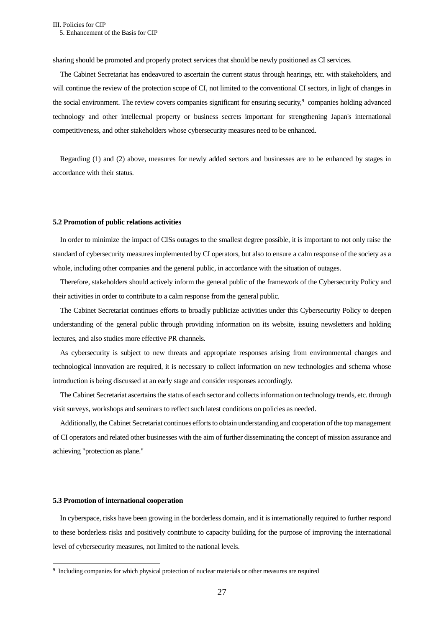sharing should be promoted and properly protect services that should be newly positioned as CI services.

The Cabinet Secretariat has endeavored to ascertain the current status through hearings, etc. with stakeholders, and will continue the review of the protection scope of CI, not limited to the conventional CI sectors, in light of changes in the social environment. The review covers companies significant for ensuring security,<sup>9</sup> companies holding advanced technology and other intellectual property or business secrets important for strengthening Japan's international competitiveness, and other stakeholders whose cybersecurity measures need to be enhanced.

Regarding (1) and (2) above, measures for newly added sectors and businesses are to be enhanced by stages in accordance with their status.

#### <span id="page-30-0"></span>**5.2 Promotion of public relations activities**

In order to minimize the impact of CISs outages to the smallest degree possible, it is important to not only raise the standard of cybersecurity measures implemented by CI operators, but also to ensure a calm response of the society as a whole, including other companies and the general public, in accordance with the situation of outages.

Therefore, stakeholders should actively inform the general public of the framework of the Cybersecurity Policy and their activities in order to contribute to a calm response from the general public.

The Cabinet Secretariat continues efforts to broadly publicize activities under this Cybersecurity Policy to deepen understanding of the general public through providing information on its website, issuing newsletters and holding lectures, and also studies more effective PR channels.

As cybersecurity is subject to new threats and appropriate responses arising from environmental changes and technological innovation are required, it is necessary to collect information on new technologies and schema whose introduction is being discussed at an early stage and consider responses accordingly.

The Cabinet Secretariat ascertains the status of each sector and collects information on technology trends, etc. through visit surveys, workshops and seminars to reflect such latest conditions on policies as needed.

Additionally, the Cabinet Secretariat continues efforts to obtain understanding and cooperation of the top management of CI operators and related other businesses with the aim of further disseminating the concept of mission assurance and achieving "protection as plane."

#### <span id="page-30-1"></span>**5.3 Promotion of international cooperation**

In cyberspace, risks have been growing in the borderless domain, and it is internationally required to further respond to these borderless risks and positively contribute to capacity building for the purpose of improving the international level of cybersecurity measures, not limited to the national levels.

<sup>9</sup> Including companies for which physical protection of nuclear materials or other measures are required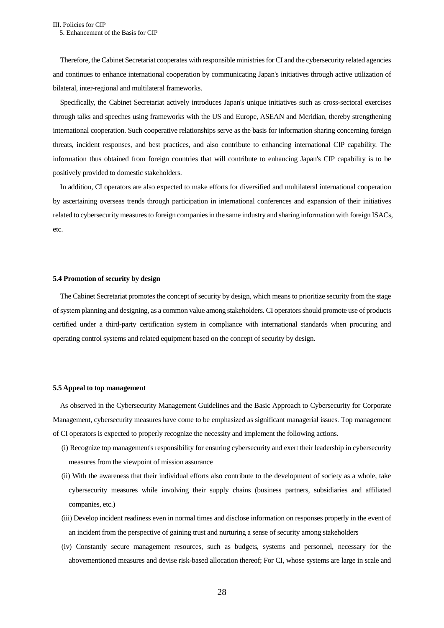Therefore, the Cabinet Secretariat cooperates with responsible ministries for CI and the cybersecurity related agencies and continues to enhance international cooperation by communicating Japan's initiatives through active utilization of bilateral, inter-regional and multilateral frameworks.

Specifically, the Cabinet Secretariat actively introduces Japan's unique initiatives such as cross-sectoral exercises through talks and speeches using frameworks with the US and Europe, ASEAN and Meridian, thereby strengthening international cooperation. Such cooperative relationships serve as the basis for information sharing concerning foreign threats, incident responses, and best practices, and also contribute to enhancing international CIP capability. The information thus obtained from foreign countries that will contribute to enhancing Japan's CIP capability is to be positively provided to domestic stakeholders.

In addition, CI operators are also expected to make efforts for diversified and multilateral international cooperation by ascertaining overseas trends through participation in international conferences and expansion of their initiatives related to cybersecurity measures to foreign companies in the same industry and sharing information with foreign ISACs, etc.

#### <span id="page-31-0"></span>**5.4 Promotion of security by design**

The Cabinet Secretariat promotes the concept of security by design, which means to prioritize security from the stage of system planning and designing, as a common value among stakeholders. CI operators should promote use of products certified under a third-party certification system in compliance with international standards when procuring and operating control systems and related equipment based on the concept of security by design.

#### <span id="page-31-1"></span>**5.5 Appeal to top management**

As observed in the Cybersecurity Management Guidelines and the Basic Approach to Cybersecurity for Corporate Management, cybersecurity measures have come to be emphasized as significant managerial issues. Top management of CI operators is expected to properly recognize the necessity and implement the following actions.

- (i) Recognize top management's responsibility for ensuring cybersecurity and exert their leadership in cybersecurity measures from the viewpoint of mission assurance
- (ii) With the awareness that their individual efforts also contribute to the development of society as a whole, take cybersecurity measures while involving their supply chains (business partners, subsidiaries and affiliated companies, etc.)
- (iii) Develop incident readiness even in normal times and disclose information on responses properly in the event of an incident from the perspective of gaining trust and nurturing a sense of security among stakeholders
- (iv) Constantly secure management resources, such as budgets, systems and personnel, necessary for the abovementioned measures and devise risk-based allocation thereof; For CI, whose systems are large in scale and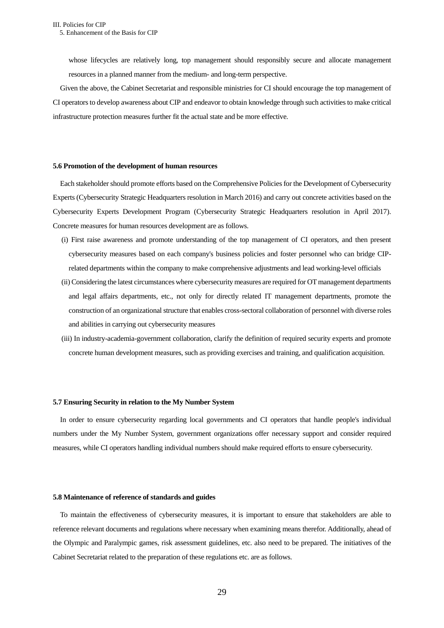whose lifecycles are relatively long, top management should responsibly secure and allocate management resources in a planned manner from the medium- and long-term perspective.

Given the above, the Cabinet Secretariat and responsible ministries for CI should encourage the top management of CI operators to develop awareness about CIP and endeavor to obtain knowledge through such activities to make critical infrastructure protection measures further fit the actual state and be more effective.

#### <span id="page-32-0"></span>**5.6 Promotion of the development of human resources**

Each stakeholder should promote efforts based on the Comprehensive Policies for the Development of Cybersecurity Experts (Cybersecurity Strategic Headquarters resolution in March 2016) and carry out concrete activities based on the Cybersecurity Experts Development Program (Cybersecurity Strategic Headquarters resolution in April 2017). Concrete measures for human resources development are as follows.

- (i) First raise awareness and promote understanding of the top management of CI operators, and then present cybersecurity measures based on each company's business policies and foster personnel who can bridge CIPrelated departments within the company to make comprehensive adjustments and lead working-level officials
- (ii) Considering the latest circumstances where cybersecuritymeasures are required for OT management departments and legal affairs departments, etc., not only for directly related IT management departments, promote the construction of an organizational structure that enables cross-sectoral collaboration of personnel with diverse roles and abilities in carrying out cybersecurity measures
- (iii) In industry-academia-government collaboration, clarify the definition of required security experts and promote concrete human development measures, such as providing exercises and training, and qualification acquisition.

#### <span id="page-32-1"></span>**5.7 Ensuring Security in relation to the My Number System**

In order to ensure cybersecurity regarding local governments and CI operators that handle people's individual numbers under the My Number System, government organizations offer necessary support and consider required measures, while CI operators handling individual numbers should make required efforts to ensure cybersecurity.

#### <span id="page-32-2"></span>**5.8 Maintenance of reference of standards and guides**

To maintain the effectiveness of cybersecurity measures, it is important to ensure that stakeholders are able to reference relevant documents and regulations where necessary when examining means therefor. Additionally, ahead of the Olympic and Paralympic games, risk assessment guidelines, etc. also need to be prepared. The initiatives of the Cabinet Secretariat related to the preparation of these regulations etc. are as follows.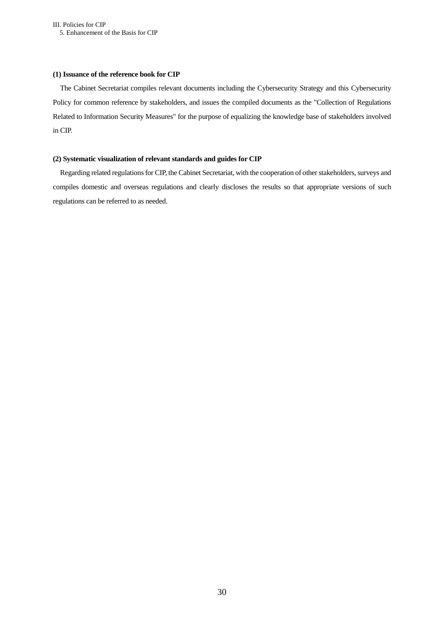# **(1) Issuance of the reference book for CIP**

The Cabinet Secretariat compiles relevant documents including the Cybersecurity Strategy and this Cybersecurity Policy for common reference by stakeholders, and issues the compiled documents as the "Collection of Regulations Related to Information Security Measures" for the purpose of equalizing the knowledge base of stakeholders involved in CIP.

# **(2) Systematic visualization of relevant standards and guides for CIP**

Regarding related regulations for CIP, the Cabinet Secretariat, with the cooperation of other stakeholders, surveys and compiles domestic and overseas regulations and clearly discloses the results so that appropriate versions of such regulations can be referred to as needed.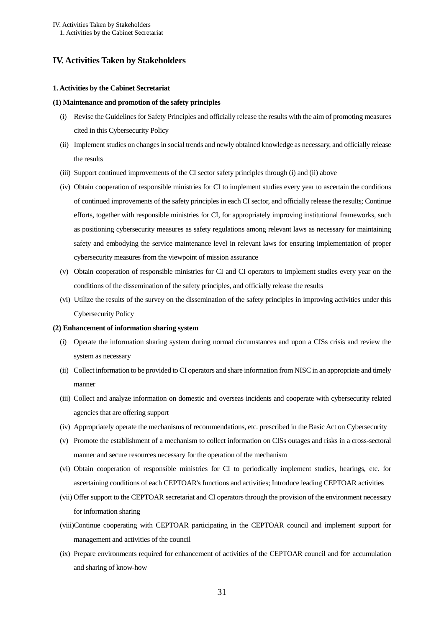# <span id="page-34-1"></span><span id="page-34-0"></span>**IV. Activities Taken by Stakeholders**

#### **1. Activities by the Cabinet Secretariat**

#### **(1) Maintenance and promotion of the safety principles**

- (i) Revise the Guidelines for Safety Principles and officially release the results with the aim of promoting measures cited in this Cybersecurity Policy
- (ii) Implement studies on changes in social trends and newly obtained knowledge as necessary, and officially release the results
- (iii) Support continued improvements of the CI sector safety principles through (i) and (ii) above
- (iv) Obtain cooperation of responsible ministries for CI to implement studies every year to ascertain the conditions of continued improvements of the safety principles in each CI sector, and officially release the results; Continue efforts, together with responsible ministries for CI, for appropriately improving institutional frameworks, such as positioning cybersecurity measures as safety regulations among relevant laws as necessary for maintaining safety and embodying the service maintenance level in relevant laws for ensuring implementation of proper cybersecurity measures from the viewpoint of mission assurance
- (v) Obtain cooperation of responsible ministries for CI and CI operators to implement studies every year on the conditions of the dissemination of the safety principles, and officially release the results
- (vi) Utilize the results of the survey on the dissemination of the safety principles in improving activities under this Cybersecurity Policy

#### **(2) Enhancement of information sharing system**

- (i) Operate the information sharing system during normal circumstances and upon a CISs crisis and review the system as necessary
- (ii) Collect information to be provided to CI operators and share information from NISC in an appropriate and timely manner
- (iii) Collect and analyze information on domestic and overseas incidents and cooperate with cybersecurity related agencies that are offering support
- (iv) Appropriately operate the mechanisms of recommendations, etc. prescribed in the Basic Act on Cybersecurity
- (v) Promote the establishment of a mechanism to collect information on CISs outages and risks in a cross-sectoral manner and secure resources necessary for the operation of the mechanism
- (vi) Obtain cooperation of responsible ministries for CI to periodically implement studies, hearings, etc. for ascertaining conditions of each CEPTOAR's functions and activities; Introduce leading CEPTOAR activities
- (vii) Offer support to the CEPTOAR secretariat and CI operators through the provision of the environment necessary for information sharing
- (viii)Continue cooperating with CEPTOAR participating in the CEPTOAR council and implement support for management and activities of the council
- (ix) Prepare environments required for enhancement of activities of the CEPTOAR council and for accumulation and sharing of know-how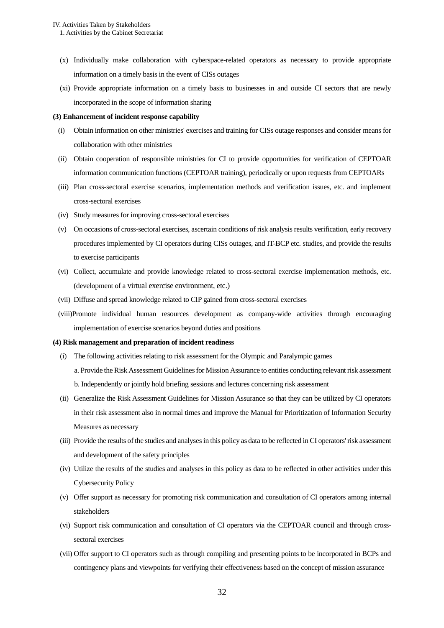- (x) Individually make collaboration with cyberspace-related operators as necessary to provide appropriate information on a timely basis in the event of CISs outages
- (xi) Provide appropriate information on a timely basis to businesses in and outside CI sectors that are newly incorporated in the scope of information sharing

#### **(3) Enhancement of incident response capability**

- (i) Obtain information on other ministries' exercises and training for CISs outage responses and consider means for collaboration with other ministries
- (ii) Obtain cooperation of responsible ministries for CI to provide opportunities for verification of CEPTOAR information communication functions (CEPTOAR training), periodically or upon requests from CEPTOARs
- (iii) Plan cross-sectoral exercise scenarios, implementation methods and verification issues, etc. and implement cross-sectoral exercises
- (iv) Study measures for improving cross-sectoral exercises
- (v) On occasions of cross-sectoral exercises, ascertain conditions of risk analysis results verification, early recovery procedures implemented by CI operators during CISs outages, and IT-BCP etc. studies, and provide the results to exercise participants
- (vi) Collect, accumulate and provide knowledge related to cross-sectoral exercise implementation methods, etc. (development of a virtual exercise environment, etc.)
- (vii) Diffuse and spread knowledge related to CIP gained from cross-sectoral exercises
- (viii)Promote individual human resources development as company-wide activities through encouraging implementation of exercise scenarios beyond duties and positions

#### **(4) Risk management and preparation of incident readiness**

- (i) The following activities relating to risk assessment for the Olympic and Paralympic games a. Provide the Risk Assessment Guidelines for Mission Assurance to entities conducting relevant risk assessment b. Independently or jointly hold briefing sessions and lectures concerning risk assessment
- (ii) Generalize the Risk Assessment Guidelines for Mission Assurance so that they can be utilized by CI operators in their risk assessment also in normal times and improve the Manual for Prioritization of Information Security Measures as necessary
- (iii) Provide the results of the studies and analyses in this policy as data to be reflected in CI operators' risk assessment and development of the safety principles
- (iv) Utilize the results of the studies and analyses in this policy as data to be reflected in other activities under this Cybersecurity Policy
- (v) Offer support as necessary for promoting risk communication and consultation of CI operators among internal stakeholders
- (vi) Support risk communication and consultation of CI operators via the CEPTOAR council and through crosssectoral exercises
- (vii) Offer support to CI operators such as through compiling and presenting points to be incorporated in BCPs and contingency plans and viewpoints for verifying their effectiveness based on the concept of mission assurance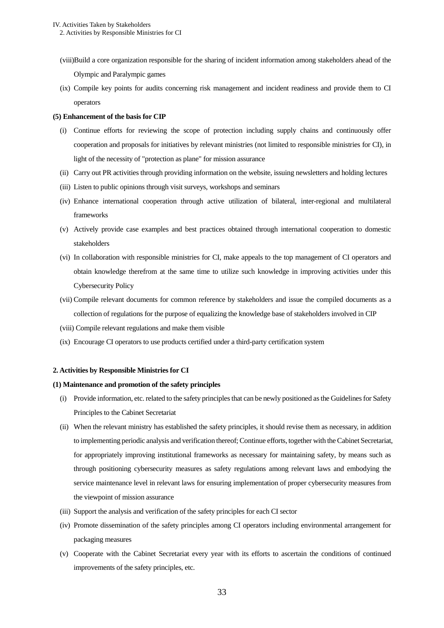- (viii)Build a core organization responsible for the sharing of incident information among stakeholders ahead of the Olympic and Paralympic games
- (ix) Compile key points for audits concerning risk management and incident readiness and provide them to CI operators

# **(5) Enhancement of the basis for CIP**

- (i) Continue efforts for reviewing the scope of protection including supply chains and continuously offer cooperation and proposals for initiatives by relevant ministries (not limited to responsible ministries for CI), in light of the necessity of "protection as plane" for mission assurance
- (ii) Carry out PR activities through providing information on the website, issuing newsletters and holding lectures
- (iii) Listen to public opinions through visit surveys, workshops and seminars
- (iv) Enhance international cooperation through active utilization of bilateral, inter-regional and multilateral frameworks
- (v) Actively provide case examples and best practices obtained through international cooperation to domestic stakeholders
- (vi) In collaboration with responsible ministries for CI, make appeals to the top management of CI operators and obtain knowledge therefrom at the same time to utilize such knowledge in improving activities under this Cybersecurity Policy
- (vii) Compile relevant documents for common reference by stakeholders and issue the compiled documents as a collection of regulations for the purpose of equalizing the knowledge base of stakeholders involved in CIP
- (viii) Compile relevant regulations and make them visible
- <span id="page-36-0"></span>(ix) Encourage CI operators to use products certified under a third-party certification system

# **2. Activities by Responsible Ministries for CI**

### **(1) Maintenance and promotion of the safety principles**

- (i) Provide information, etc. related to the safety principles that can be newly positioned as the Guidelines for Safety Principles to the Cabinet Secretariat
- (ii) When the relevant ministry has established the safety principles, it should revise them as necessary, in addition to implementing periodic analysis and verification thereof; Continue efforts, together with the Cabinet Secretariat, for appropriately improving institutional frameworks as necessary for maintaining safety, by means such as through positioning cybersecurity measures as safety regulations among relevant laws and embodying the service maintenance level in relevant laws for ensuring implementation of proper cybersecurity measures from the viewpoint of mission assurance
- (iii) Support the analysis and verification of the safety principles for each CI sector
- (iv) Promote dissemination of the safety principles among CI operators including environmental arrangement for packaging measures
- (v) Cooperate with the Cabinet Secretariat every year with its efforts to ascertain the conditions of continued improvements of the safety principles, etc.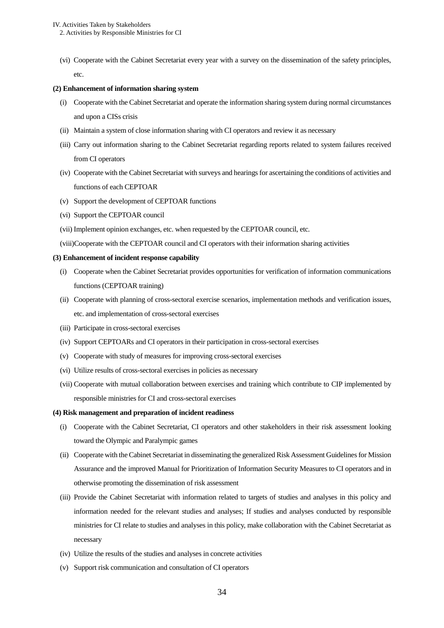(vi) Cooperate with the Cabinet Secretariat every year with a survey on the dissemination of the safety principles, etc.

# **(2) Enhancement of information sharing system**

- (i) Cooperate with the Cabinet Secretariat and operate the information sharing system during normal circumstances and upon a CISs crisis
- (ii) Maintain a system of close information sharing with CI operators and review it as necessary
- (iii) Carry out information sharing to the Cabinet Secretariat regarding reports related to system failures received from CI operators
- (iv) Cooperate with the Cabinet Secretariat with surveys and hearings for ascertaining the conditions of activities and functions of each CEPTOAR
- (v) Support the development of CEPTOAR functions
- (vi) Support the CEPTOAR council
- (vii) Implement opinion exchanges, etc. when requested by the CEPTOAR council, etc.
- (viii)Cooperate with the CEPTOAR council and CI operators with their information sharing activities

# **(3) Enhancement of incident response capability**

- (i) Cooperate when the Cabinet Secretariat provides opportunities for verification of information communications functions (CEPTOAR training)
- (ii) Cooperate with planning of cross-sectoral exercise scenarios, implementation methods and verification issues, etc. and implementation of cross-sectoral exercises
- (iii) Participate in cross-sectoral exercises
- (iv) Support CEPTOARs and CI operators in their participation in cross-sectoral exercises
- (v) Cooperate with study of measures for improving cross-sectoral exercises
- (vi) Utilize results of cross-sectoral exercises in policies as necessary
- (vii) Cooperate with mutual collaboration between exercises and training which contribute to CIP implemented by responsible ministries for CI and cross-sectoral exercises

# **(4) Risk management and preparation of incident readiness**

- (i) Cooperate with the Cabinet Secretariat, CI operators and other stakeholders in their risk assessment looking toward the Olympic and Paralympic games
- (ii) Cooperate with the Cabinet Secretariat in disseminating the generalized Risk Assessment Guidelines for Mission Assurance and the improved Manual for Prioritization of Information Security Measures to CI operators and in otherwise promoting the dissemination of risk assessment
- (iii) Provide the Cabinet Secretariat with information related to targets of studies and analyses in this policy and information needed for the relevant studies and analyses; If studies and analyses conducted by responsible ministries for CI relate to studies and analyses in this policy, make collaboration with the Cabinet Secretariat as necessary
- (iv) Utilize the results of the studies and analyses in concrete activities
- (v) Support risk communication and consultation of CI operators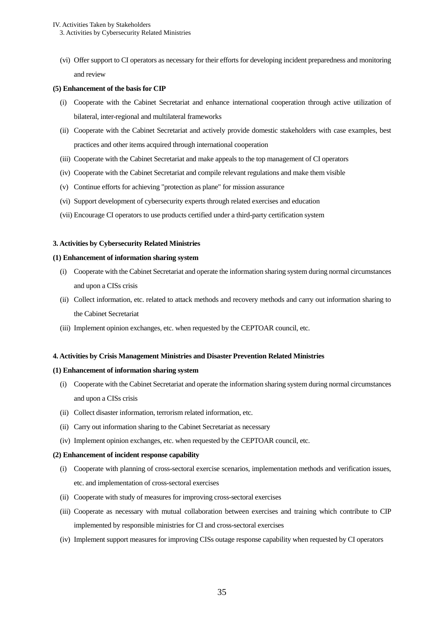(vi) Offer support to CI operators as necessary for their efforts for developing incident preparedness and monitoring and review

# **(5) Enhancement of the basis for CIP**

- (i) Cooperate with the Cabinet Secretariat and enhance international cooperation through active utilization of bilateral, inter-regional and multilateral frameworks
- (ii) Cooperate with the Cabinet Secretariat and actively provide domestic stakeholders with case examples, best practices and other items acquired through international cooperation
- (iii) Cooperate with the Cabinet Secretariat and make appeals to the top management of CI operators
- (iv) Cooperate with the Cabinet Secretariat and compile relevant regulations and make them visible
- (v) Continue efforts for achieving "protection as plane" for mission assurance
- (vi) Support development of cybersecurity experts through related exercises and education
- <span id="page-38-0"></span>(vii) Encourage CI operators to use products certified under a third-party certification system

# **3. Activities by Cybersecurity Related Ministries**

# **(1) Enhancement of information sharing system**

- (i) Cooperate with the Cabinet Secretariat and operate the information sharing system during normal circumstances and upon a CISs crisis
- (ii) Collect information, etc. related to attack methods and recovery methods and carry out information sharing to the Cabinet Secretariat
- <span id="page-38-1"></span>(iii) Implement opinion exchanges, etc. when requested by the CEPTOAR council, etc.

### **4. Activities by Crisis Management Ministries and Disaster Prevention Related Ministries**

# **(1) Enhancement of information sharing system**

- (i) Cooperate with the Cabinet Secretariat and operate the information sharing system during normal circumstances and upon a CISs crisis
- (ii) Collect disaster information, terrorism related information, etc.
- (ii) Carry out information sharing to the Cabinet Secretariat as necessary
- (iv) Implement opinion exchanges, etc. when requested by the CEPTOAR council, etc.

### **(2) Enhancement of incident response capability**

- (i) Cooperate with planning of cross-sectoral exercise scenarios, implementation methods and verification issues, etc. and implementation of cross-sectoral exercises
- (ii) Cooperate with study of measures for improving cross-sectoral exercises
- (iii) Cooperate as necessary with mutual collaboration between exercises and training which contribute to CIP implemented by responsible ministries for CI and cross-sectoral exercises
- (iv) Implement support measures for improving CISs outage response capability when requested by CI operators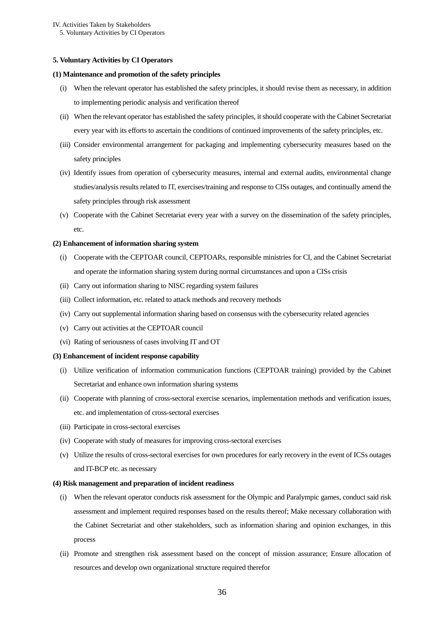IV. Activities Taken by Stakeholders 5. Voluntary Activities by CI Operators

#### <span id="page-39-0"></span>**5. Voluntary Activities by CI Operators**

#### **(1) Maintenance and promotion of the safety principles**

- (i) When the relevant operator has established the safety principles, it should revise them as necessary, in addition to implementing periodic analysis and verification thereof
- (ii) When the relevant operator has established the safety principles, it should cooperate with the Cabinet Secretariat every year with its efforts to ascertain the conditions of continued improvements of the safety principles, etc.
- (iii) Consider environmental arrangement for packaging and implementing cybersecurity measures based on the safety principles
- (iv) Identify issues from operation of cybersecurity measures, internal and external audits, environmental change studies/analysis results related to IT, exercises/training and response to CISs outages, and continually amend the safety principles through risk assessment
- (v) Cooperate with the Cabinet Secretariat every year with a survey on the dissemination of the safety principles, etc.

#### **(2) Enhancement of information sharing system**

- (i) Cooperate with the CEPTOAR council, CEPTOARs, responsible ministries for CI, and the Cabinet Secretariat and operate the information sharing system during normal circumstances and upon a CISs crisis
- (ii) Carry out information sharing to NISC regarding system failures
- (iii) Collect information, etc. related to attack methods and recovery methods
- (iv) Carry out supplemental information sharing based on consensus with the cybersecurity related agencies
- (v) Carry out activities at the CEPTOAR council
- (vi) Rating of seriousness of cases involving IT and OT

## **(3) Enhancement of incident response capability**

- (i) Utilize verification of information communication functions (CEPTOAR training) provided by the Cabinet Secretariat and enhance own information sharing systems
- (ii) Cooperate with planning of cross-sectoral exercise scenarios, implementation methods and verification issues, etc. and implementation of cross-sectoral exercises
- (iii) Participate in cross-sectoral exercises
- (iv) Cooperate with study of measures for improving cross-sectoral exercises
- (v) Utilize the results of cross-sectoral exercises for own procedures for early recovery in the event of ICSs outages and IT-BCP etc. as necessary

#### **(4) Risk management and preparation of incident readiness**

- (i) When the relevant operator conducts risk assessment for the Olympic and Paralympic games, conduct said risk assessment and implement required responses based on the results thereof; Make necessary collaboration with the Cabinet Secretariat and other stakeholders, such as information sharing and opinion exchanges, in this process
- (ii) Promote and strengthen risk assessment based on the concept of mission assurance; Ensure allocation of resources and develop own organizational structure required therefor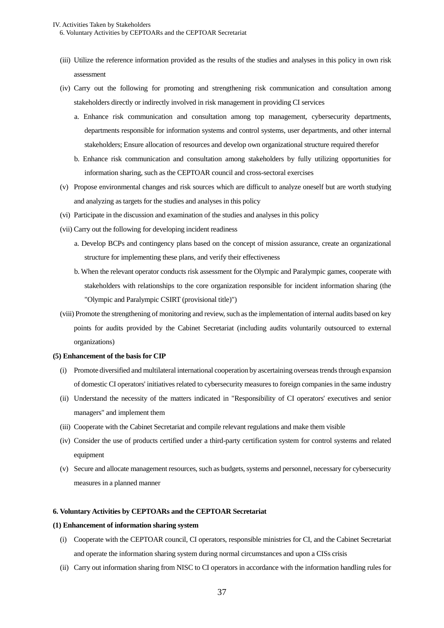- (iii) Utilize the reference information provided as the results of the studies and analyses in this policy in own risk assessment
- (iv) Carry out the following for promoting and strengthening risk communication and consultation among stakeholders directly or indirectly involved in risk management in providing CI services
	- a. Enhance risk communication and consultation among top management, cybersecurity departments, departments responsible for information systems and control systems, user departments, and other internal stakeholders; Ensure allocation of resources and develop own organizational structure required therefor
	- b. Enhance risk communication and consultation among stakeholders by fully utilizing opportunities for information sharing, such as the CEPTOAR council and cross-sectoral exercises
- (v) Propose environmental changes and risk sources which are difficult to analyze oneself but are worth studying and analyzing as targets for the studies and analyses in this policy
- (vi) Participate in the discussion and examination of the studies and analyses in this policy
- (vii) Carry out the following for developing incident readiness
	- a. Develop BCPs and contingency plans based on the concept of mission assurance, create an organizational structure for implementing these plans, and verify their effectiveness
	- b. When the relevant operator conducts risk assessment for the Olympic and Paralympic games, cooperate with stakeholders with relationships to the core organization responsible for incident information sharing (the "Olympic and Paralympic CSIRT (provisional title)")
- (viii) Promote the strengthening of monitoring and review, such as the implementation of internal audits based on key points for audits provided by the Cabinet Secretariat (including audits voluntarily outsourced to external organizations)

# **(5) Enhancement of the basis for CIP**

- (i) Promote diversified and multilateral international cooperation by ascertaining overseas trends through expansion of domestic CI operators' initiatives related to cybersecurity measures to foreign companies in the same industry
- (ii) Understand the necessity of the matters indicated in "Responsibility of CI operators' executives and senior managers" and implement them
- (iii) Cooperate with the Cabinet Secretariat and compile relevant regulations and make them visible
- (iv) Consider the use of products certified under a third-party certification system for control systems and related equipment
- (v) Secure and allocate management resources, such as budgets, systems and personnel, necessary for cybersecurity measures in a planned manner

# <span id="page-40-0"></span>**6. Voluntary Activities by CEPTOARs and the CEPTOAR Secretariat**

# **(1) Enhancement of information sharing system**

- (i) Cooperate with the CEPTOAR council, CI operators, responsible ministries for CI, and the Cabinet Secretariat and operate the information sharing system during normal circumstances and upon a CISs crisis
- (ii) Carry out information sharing from NISC to CI operators in accordance with the information handling rules for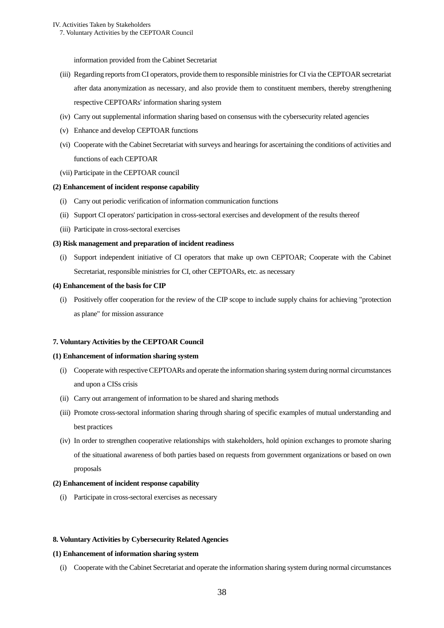# IV. Activities Taken by Stakeholders

7. Voluntary Activities by the CEPTOAR Council

information provided from the Cabinet Secretariat

- (iii) Regarding reports from CI operators, provide them to responsible ministries for CI via the CEPTOAR secretariat after data anonymization as necessary, and also provide them to constituent members, thereby strengthening respective CEPTOARs' information sharing system
- (iv) Carry out supplemental information sharing based on consensus with the cybersecurity related agencies
- (v) Enhance and develop CEPTOAR functions
- (vi) Cooperate with the Cabinet Secretariat with surveys and hearings for ascertaining the conditions of activities and functions of each CEPTOAR
- (vii) Participate in the CEPTOAR council

#### **(2) Enhancement of incident response capability**

- (i) Carry out periodic verification of information communication functions
- (ii) Support CI operators' participation in cross-sectoral exercises and development of the results thereof
- (iii) Participate in cross-sectoral exercises

#### **(3) Risk management and preparation of incident readiness**

(i) Support independent initiative of CI operators that make up own CEPTOAR; Cooperate with the Cabinet Secretariat, responsible ministries for CI, other CEPTOARs, etc. as necessary

#### **(4) Enhancement of the basis for CIP**

(i) Positively offer cooperation for the review of the CIP scope to include supply chains for achieving "protection as plane" for mission assurance

#### <span id="page-41-0"></span>**7. Voluntary Activities by the CEPTOAR Council**

# **(1) Enhancement of information sharing system**

- (i) Cooperate with respective CEPTOARs and operate the information sharing system during normal circumstances and upon a CISs crisis
- (ii) Carry out arrangement of information to be shared and sharing methods
- (iii) Promote cross-sectoral information sharing through sharing of specific examples of mutual understanding and best practices
- (iv) In order to strengthen cooperative relationships with stakeholders, hold opinion exchanges to promote sharing of the situational awareness of both parties based on requests from government organizations or based on own proposals

#### **(2) Enhancement of incident response capability**

(i) Participate in cross-sectoral exercises as necessary

#### <span id="page-41-1"></span>**8. Voluntary Activities by Cybersecurity Related Agencies**

## **(1) Enhancement of information sharing system**

(i) Cooperate with the Cabinet Secretariat and operate the information sharing system during normal circumstances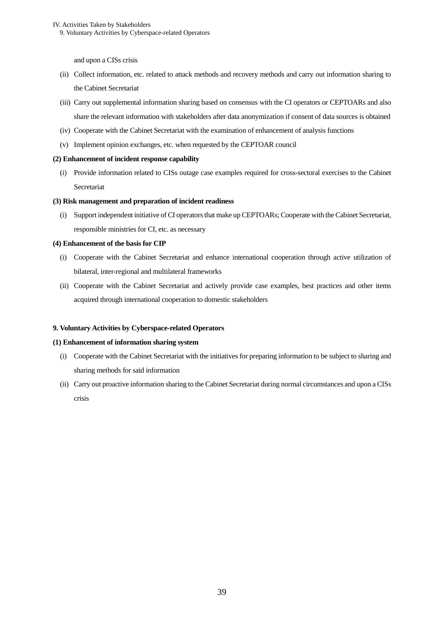#### IV. Activities Taken by Stakeholders

9. Voluntary Activities by Cyberspace-related Operators

and upon a CISs crisis

- (ii) Collect information, etc. related to attack methods and recovery methods and carry out information sharing to the Cabinet Secretariat
- (iii) Carry out supplemental information sharing based on consensus with the CI operators or CEPTOARs and also share the relevant information with stakeholders after data anonymization if consent of data sources is obtained
- (iv) Cooperate with the Cabinet Secretariat with the examination of enhancement of analysis functions
- (v) Implement opinion exchanges, etc. when requested by the CEPTOAR council

## **(2) Enhancement of incident response capability**

(i) Provide information related to CISs outage case examples required for cross-sectoral exercises to the Cabinet Secretariat

# **(3) Risk management and preparation of incident readiness**

(i) Support independent initiative of CI operators that make up CEPTOARs; Cooperate with the Cabinet Secretariat, responsible ministries for CI, etc. as necessary

# **(4) Enhancement of the basis for CIP**

- (i) Cooperate with the Cabinet Secretariat and enhance international cooperation through active utilization of bilateral, inter-regional and multilateral frameworks
- (ii) Cooperate with the Cabinet Secretariat and actively provide case examples, best practices and other items acquired through international cooperation to domestic stakeholders

#### <span id="page-42-0"></span>**9. Voluntary Activities by Cyberspace-related Operators**

#### **(1) Enhancement of information sharing system**

- (i) Cooperate with the Cabinet Secretariat with the initiatives for preparing information to be subject to sharing and sharing methods for said information
- (ii) Carry out proactive information sharing to the Cabinet Secretariat during normal circumstances and upon a CISs crisis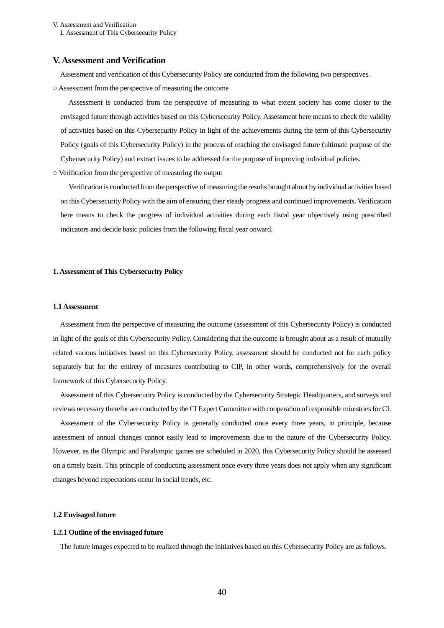1. Assessment of This Cybersecurity Policy

## <span id="page-43-0"></span>**V. Assessment and Verification**

Assessment and verification of this Cybersecurity Policy are conducted from the following two perspectives.

○ Assessment from the perspective of measuring the outcome

Assessment is conducted from the perspective of measuring to what extent society has come closer to the envisaged future through activities based on this Cybersecurity Policy. Assessment here means to check the validity of activities based on this Cybersecurity Policy in light of the achievements during the term of this Cybersecurity Policy (goals of this Cybersecurity Policy) in the process of reaching the envisaged future (ultimate purpose of the Cybersecurity Policy) and extract issues to be addressed for the purpose of improving individual policies.

○ Verification from the perspective of measuring the output

Verification is conducted from the perspective of measuring the results brought about by individual activities based on this Cybersecurity Policy with the aim of ensuring their steady progress and continued improvements. Verification here means to check the progress of individual activities during each fiscal year objectively using prescribed indicators and decide basic policies from the following fiscal year onward.

#### <span id="page-43-2"></span><span id="page-43-1"></span>**1. Assessment of This Cybersecurity Policy**

#### **1.1 Assessment**

Assessment from the perspective of measuring the outcome (assessment of this Cybersecurity Policy) is conducted in light of the goals of this Cybersecurity Policy. Considering that the outcome is brought about as a result of mutually related various initiatives based on this Cybersecurity Policy, assessment should be conducted not for each policy separately but for the entirety of measures contributing to CIP, in other words, comprehensively for the overall framework of this Cybersecurity Policy.

Assessment of this Cybersecurity Policy is conducted by the Cybersecurity Strategic Headquarters, and surveys and reviews necessary therefor are conducted by the CI Expert Committee with cooperation of responsible ministries for CI.

Assessment of the Cybersecurity Policy is generally conducted once every three years, in principle, because assessment of annual changes cannot easily lead to improvements due to the nature of the Cybersecurity Policy. However, as the Olympic and Paralympic games are scheduled in 2020, this Cybersecurity Policy should be assessed on a timely basis. This principle of conducting assessment once every three years does not apply when any significant changes beyond expectations occur in social trends, etc.

#### <span id="page-43-3"></span>**1.2 Envisaged future**

#### **1.2.1 Outline of the envisaged future**

The future images expected to be realized through the initiatives based on this Cybersecurity Policy are as follows.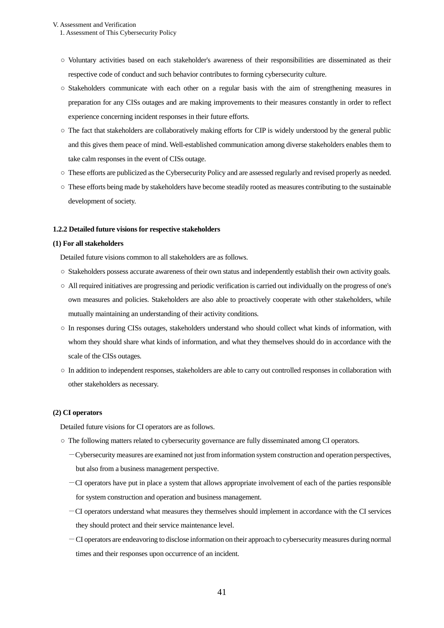1. Assessment of This Cybersecurity Policy

- Voluntary activities based on each stakeholder's awareness of their responsibilities are disseminated as their respective code of conduct and such behavior contributes to forming cybersecurity culture.
- Stakeholders communicate with each other on a regular basis with the aim of strengthening measures in preparation for any CISs outages and are making improvements to their measures constantly in order to reflect experience concerning incident responses in their future efforts.
- The fact that stakeholders are collaboratively making efforts for CIP is widely understood by the general public and this gives them peace of mind. Well-established communication among diverse stakeholders enables them to take calm responses in the event of CISs outage.
- These efforts are publicized as the Cybersecurity Policy and are assessed regularly and revised properly as needed.
- These efforts being made by stakeholders have become steadily rooted as measures contributing to the sustainable development of society.

#### **1.2.2 Detailed future visions for respective stakeholders**

#### **(1) For all stakeholders**

Detailed future visions common to all stakeholders are as follows.

- Stakeholders possess accurate awareness of their own status and independently establish their own activity goals.
- All required initiatives are progressing and periodic verification is carried out individually on the progress of one's own measures and policies. Stakeholders are also able to proactively cooperate with other stakeholders, while mutually maintaining an understanding of their activity conditions.
- In responses during CISs outages, stakeholders understand who should collect what kinds of information, with whom they should share what kinds of information, and what they themselves should do in accordance with the scale of the CISs outages.
- In addition to independent responses, stakeholders are able to carry out controlled responses in collaboration with other stakeholders as necessary.

# **(2) CI operators**

Detailed future visions for CI operators are as follows.

- The following matters related to cybersecurity governance are fully disseminated among CI operators.
	- -Cybersecurity measures are examined not just from information system construction and operation perspectives, but also from a business management perspective.
	- -CI operators have put in place a system that allows appropriate involvement of each of the parties responsible for system construction and operation and business management.
	- -CI operators understand what measures they themselves should implement in accordance with the CI services they should protect and their service maintenance level.
	- -CI operators are endeavoring to disclose information on their approach to cybersecurity measures during normal times and their responses upon occurrence of an incident.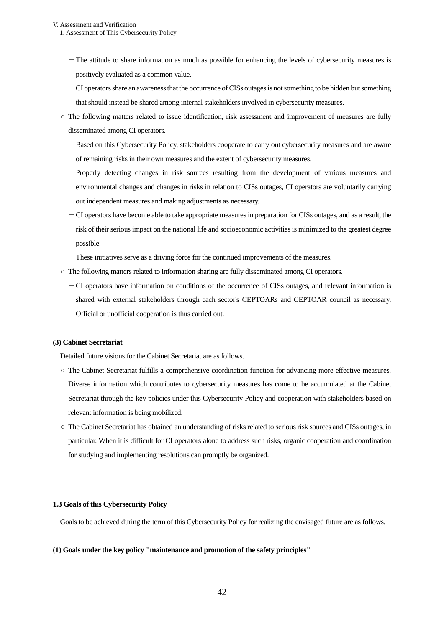1. Assessment of This Cybersecurity Policy

- -The attitude to share information as much as possible for enhancing the levels of cybersecurity measures is positively evaluated as a common value.
- -CI operators share an awareness that the occurrence of CISs outages is not something to be hidden but something that should instead be shared among internal stakeholders involved in cybersecurity measures.
- The following matters related to issue identification, risk assessment and improvement of measures are fully disseminated among CI operators.
	- -Based on this Cybersecurity Policy, stakeholders cooperate to carry out cybersecurity measures and are aware of remaining risks in their own measures and the extent of cybersecurity measures.
	- -Properly detecting changes in risk sources resulting from the development of various measures and environmental changes and changes in risks in relation to CISs outages, CI operators are voluntarily carrying out independent measures and making adjustments as necessary.
	- -CI operators have become able to take appropriate measures in preparation for CISs outages, and as a result, the risk of their serious impact on the national life and socioeconomic activities is minimized to the greatest degree possible.
	- -These initiatives serve as a driving force for the continued improvements of the measures.
- The following matters related to information sharing are fully disseminated among CI operators.
	- -CI operators have information on conditions of the occurrence of CISs outages, and relevant information is shared with external stakeholders through each sector's CEPTOARs and CEPTOAR council as necessary. Official or unofficial cooperation is thus carried out.

#### **(3) Cabinet Secretariat**

Detailed future visions for the Cabinet Secretariat are as follows.

- The Cabinet Secretariat fulfills a comprehensive coordination function for advancing more effective measures. Diverse information which contributes to cybersecurity measures has come to be accumulated at the Cabinet Secretariat through the key policies under this Cybersecurity Policy and cooperation with stakeholders based on relevant information is being mobilized.
- The Cabinet Secretariat has obtained an understanding of risks related to serious risk sources and CISs outages, in particular. When it is difficult for CI operators alone to address such risks, organic cooperation and coordination for studying and implementing resolutions can promptly be organized.

#### <span id="page-45-0"></span>**1.3 Goals of this Cybersecurity Policy**

Goals to be achieved during the term of this Cybersecurity Policy for realizing the envisaged future are as follows.

# **(1) Goals under the key policy "maintenance and promotion of the safety principles"**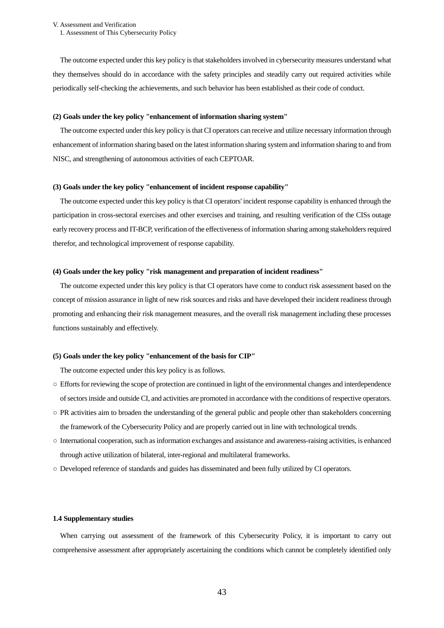V. Assessment and Verification 1. Assessment of This Cybersecurity Policy

The outcome expected under this key policy is that stakeholders involved in cybersecurity measures understand what they themselves should do in accordance with the safety principles and steadily carry out required activities while periodically self-checking the achievements, and such behavior has been established as their code of conduct.

#### **(2) Goals under the key policy "enhancement of information sharing system"**

The outcome expected under this key policy is that CI operators can receive and utilize necessary information through enhancement of information sharing based on the latest information sharing system and information sharing to and from NISC, and strengthening of autonomous activities of each CEPTOAR.

#### **(3) Goals under the key policy "enhancement of incident response capability"**

The outcome expected under this key policy is that CI operators' incident response capability is enhanced through the participation in cross-sectoral exercises and other exercises and training, and resulting verification of the CISs outage early recovery process and IT-BCP, verification of the effectiveness of information sharing among stakeholders required therefor, and technological improvement of response capability.

#### **(4) Goals under the key policy "risk management and preparation of incident readiness"**

The outcome expected under this key policy is that CI operators have come to conduct risk assessment based on the concept of mission assurance in light of new risk sources and risks and have developed their incident readiness through promoting and enhancing their risk management measures, and the overall risk management including these processes functions sustainably and effectively.

#### **(5) Goals under the key policy "enhancement of the basis for CIP"**

The outcome expected under this key policy is as follows.

- Efforts for reviewing the scope of protection are continued in light of the environmental changes and interdependence of sectors inside and outside CI, and activities are promoted in accordance with the conditions of respective operators.
- $\circ$  PR activities aim to broaden the understanding of the general public and people other than stakeholders concerning the framework of the Cybersecurity Policy and are properly carried out in line with technological trends.
- International cooperation, such as information exchanges and assistance and awareness-raising activities, is enhanced through active utilization of bilateral, inter-regional and multilateral frameworks.
- <span id="page-46-0"></span>○ Developed reference of standards and guides has disseminated and been fully utilized by CI operators.

## **1.4 Supplementary studies**

When carrying out assessment of the framework of this Cybersecurity Policy, it is important to carry out comprehensive assessment after appropriately ascertaining the conditions which cannot be completely identified only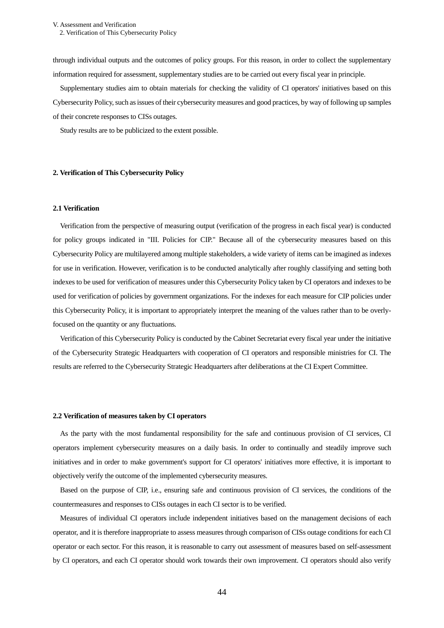through individual outputs and the outcomes of policy groups. For this reason, in order to collect the supplementary information required for assessment, supplementary studies are to be carried out every fiscal year in principle.

Supplementary studies aim to obtain materials for checking the validity of CI operators' initiatives based on this Cybersecurity Policy, such as issues of their cybersecurity measures and good practices, by way of following up samples of their concrete responses to CISs outages.

Study results are to be publicized to the extent possible.

#### <span id="page-47-1"></span><span id="page-47-0"></span>**2. Verification of This Cybersecurity Policy**

# **2.1 Verification**

Verification from the perspective of measuring output (verification of the progress in each fiscal year) is conducted for policy groups indicated in "III. Policies for CIP." Because all of the cybersecurity measures based on this Cybersecurity Policy are multilayered among multiple stakeholders, a wide variety of items can be imagined as indexes for use in verification. However, verification is to be conducted analytically after roughly classifying and setting both indexes to be used for verification of measures under this Cybersecurity Policy taken by CI operators and indexes to be used for verification of policies by government organizations. For the indexes for each measure for CIP policies under this Cybersecurity Policy, it is important to appropriately interpret the meaning of the values rather than to be overlyfocused on the quantity or any fluctuations.

Verification of this Cybersecurity Policy is conducted by the Cabinet Secretariat every fiscal year under the initiative of the Cybersecurity Strategic Headquarters with cooperation of CI operators and responsible ministries for CI. The results are referred to the Cybersecurity Strategic Headquarters after deliberations at the CI Expert Committee.

#### <span id="page-47-2"></span>**2.2 Verification of measures taken by CI operators**

As the party with the most fundamental responsibility for the safe and continuous provision of CI services, CI operators implement cybersecurity measures on a daily basis. In order to continually and steadily improve such initiatives and in order to make government's support for CI operators' initiatives more effective, it is important to objectively verify the outcome of the implemented cybersecurity measures.

Based on the purpose of CIP, i.e., ensuring safe and continuous provision of CI services, the conditions of the countermeasures and responses to CISs outages in each CI sector is to be verified.

Measures of individual CI operators include independent initiatives based on the management decisions of each operator, and it is therefore inappropriate to assess measures through comparison of CISs outage conditions for each CI operator or each sector. For this reason, it is reasonable to carry out assessment of measures based on self-assessment by CI operators, and each CI operator should work towards their own improvement. CI operators should also verify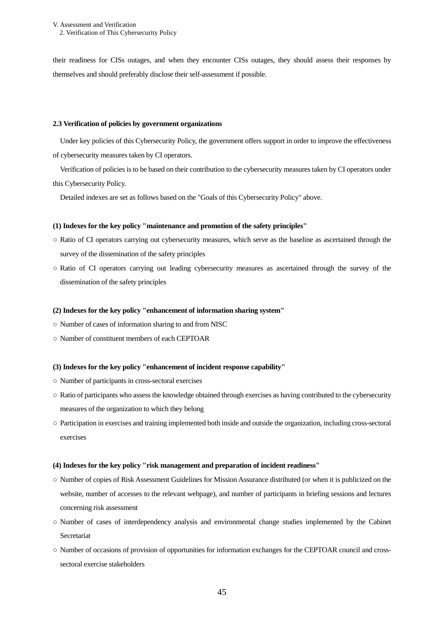2. Verification of This Cybersecurity Policy

their readiness for CISs outages, and when they encounter CISs outages, they should assess their responses by themselves and should preferably disclose their self-assessment if possible.

#### <span id="page-48-0"></span>**2.3 Verification of policies by government organizations**

Under key policies of this Cybersecurity Policy, the government offers support in order to improve the effectiveness of cybersecurity measures taken by CI operators.

Verification of policies is to be based on their contribution to the cybersecurity measures taken by CI operators under this Cybersecurity Policy.

Detailed indexes are set as follows based on the "Goals of this Cybersecurity Policy" above.

#### **(1) Indexes for the key policy "maintenance and promotion of the safety principles"**

- Ratio of CI operators carrying out cybersecurity measures, which serve as the baseline as ascertained through the survey of the dissemination of the safety principles
- Ratio of CI operators carrying out leading cybersecurity measures as ascertained through the survey of the dissemination of the safety principles

#### **(2) Indexes for the key policy "enhancement of information sharing system"**

- Number of cases of information sharing to and from NISC
- Number of constituent members of each CEPTOAR

# **(3) Indexes for the key policy "enhancement of incident response capability"**

- Number of participants in cross-sectoral exercises
- Ratio of participants who assess the knowledge obtained through exercises as having contributed to the cybersecurity measures of the organization to which they belong
- Participation in exercises and training implemented both inside and outside the organization, including cross-sectoral exercises

#### **(4) Indexes for the key policy "risk management and preparation of incident readiness"**

- Number of copies of Risk Assessment Guidelines for Mission Assurance distributed (or when it is publicized on the website, number of accesses to the relevant webpage), and number of participants in briefing sessions and lectures concerning risk assessment
- Number of cases of interdependency analysis and environmental change studies implemented by the Cabinet Secretariat
- Number of occasions of provision of opportunities for information exchanges for the CEPTOAR council and crosssectoral exercise stakeholders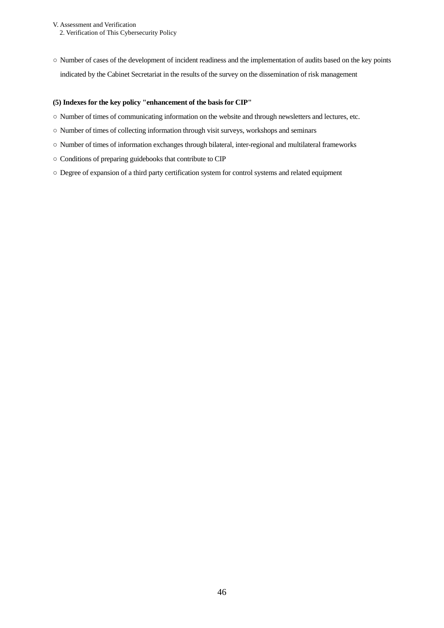V. Assessment and Verification 2. Verification of This Cybersecurity Policy

○ Number of cases of the development of incident readiness and the implementation of audits based on the key points indicated by the Cabinet Secretariat in the results of the survey on the dissemination of risk management

# **(5) Indexes for the key policy "enhancement of the basis for CIP"**

- Number of times of communicating information on the website and through newsletters and lectures, etc.
- Number of times of collecting information through visit surveys, workshops and seminars
- Number of times of information exchanges through bilateral, inter-regional and multilateral frameworks
- Conditions of preparing guidebooks that contribute to CIP
- Degree of expansion of a third party certification system for control systems and related equipment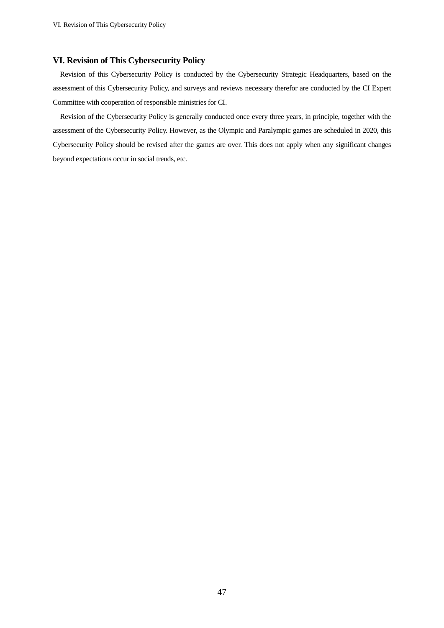# <span id="page-50-0"></span>**VI. Revision of This Cybersecurity Policy**

Revision of this Cybersecurity Policy is conducted by the Cybersecurity Strategic Headquarters, based on the assessment of this Cybersecurity Policy, and surveys and reviews necessary therefor are conducted by the CI Expert Committee with cooperation of responsible ministries for CI.

Revision of the Cybersecurity Policy is generally conducted once every three years, in principle, together with the assessment of the Cybersecurity Policy. However, as the Olympic and Paralympic games are scheduled in 2020, this Cybersecurity Policy should be revised after the games are over. This does not apply when any significant changes beyond expectations occur in social trends, etc.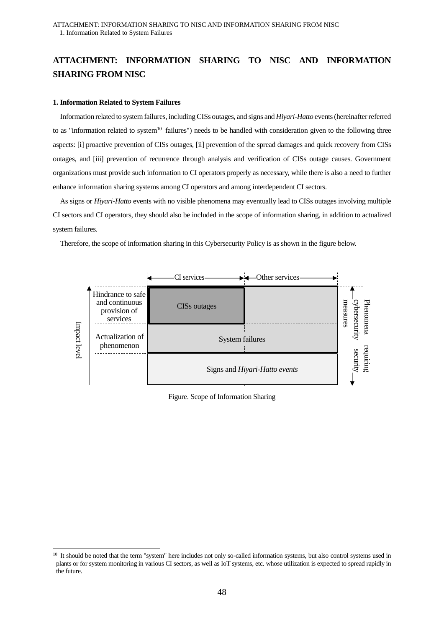# <span id="page-51-0"></span>**ATTACHMENT: INFORMATION SHARING TO NISC AND INFORMATION SHARING FROM NISC**

# <span id="page-51-1"></span>**1. Information Related to System Failures**

 $\overline{a}$ 

Information related to system failures, including CISs outages, and signs and *Hiyari-Hatto* events (hereinafter referred to as "information related to system<sup>10</sup> failures") needs to be handled with consideration given to the following three aspects: [i] proactive prevention of CISs outages, [ii] prevention of the spread damages and quick recovery from CISs outages, and [iii] prevention of recurrence through analysis and verification of CISs outage causes. Government organizations must provide such information to CI operators properly as necessary, while there is also a need to further enhance information sharing systems among CI operators and among interdependent CI sectors.

As signs or *Hiyari-Hatto* events with no visible phenomena may eventually lead to CISs outages involving multiple CI sectors and CI operators, they should also be included in the scope of information sharing, in addition to actualized system failures.

Therefore, the scope of information sharing in this Cybersecurity Policy is as shown in the figure below.



Figure. Scope of Information Sharing

<sup>&</sup>lt;sup>10</sup> It should be noted that the term "system" here includes not only so-called information systems, but also control systems used in plants or for system monitoring in various CI sectors, as well as IoT systems, etc. whose utilization is expected to spread rapidly in the future.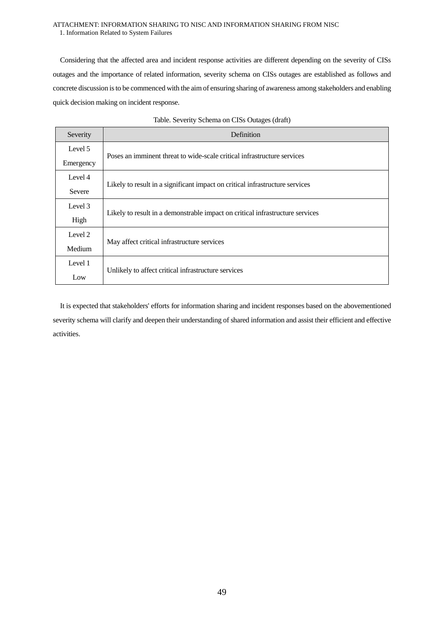## ATTACHMENT: INFORMATION SHARING TO NISC AND INFORMATION SHARING FROM NISC 1. Information Related to System Failures

Considering that the affected area and incident response activities are different depending on the severity of CISs outages and the importance of related information, severity schema on CISs outages are established as follows and concrete discussion is to be commenced with the aim of ensuring sharing of awareness among stakeholders and enabling quick decision making on incident response.

| Severity  | Definition                                                                    |  |
|-----------|-------------------------------------------------------------------------------|--|
| Level 5   |                                                                               |  |
| Emergency | Poses an imminent threat to wide-scale critical infrastructure services       |  |
| Level 4   |                                                                               |  |
| Severe    | Likely to result in a significant impact on critical infrastructure services  |  |
| Level 3   |                                                                               |  |
| High      | Likely to result in a demonstrable impact on critical infrastructure services |  |
| Level 2   |                                                                               |  |
| Medium    | May affect critical infrastructure services                                   |  |
| Level 1   |                                                                               |  |
| Low       | Unlikely to affect critical infrastructure services                           |  |

|  |  | Table. Severity Schema on CISs Outages (draft) |  |
|--|--|------------------------------------------------|--|

It is expected that stakeholders' efforts for information sharing and incident responses based on the abovementioned severity schema will clarify and deepen their understanding of shared information and assist their efficient and effective activities.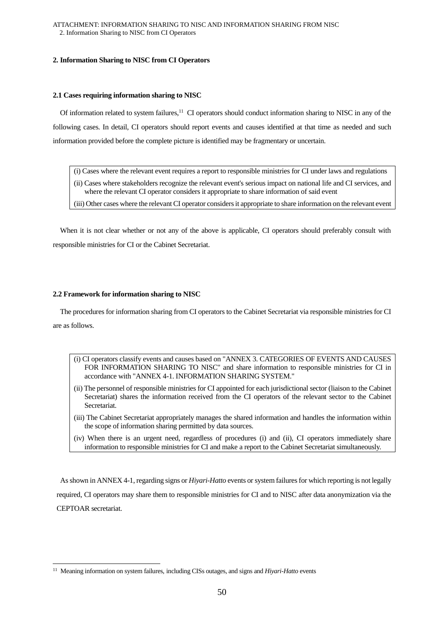# <span id="page-53-1"></span><span id="page-53-0"></span>**2. Information Sharing to NISC from CI Operators**

### **2.1 Cases requiring information sharing to NISC**

Of information related to system failures,<sup>11</sup> CI operators should conduct information sharing to NISC in any of the following cases. In detail, CI operators should report events and causes identified at that time as needed and such information provided before the complete picture is identified may be fragmentary or uncertain.

- (i) Cases where the relevant event requires a report to responsible ministries for CI under laws and regulations
- (ii) Cases where stakeholders recognize the relevant event's serious impact on national life and CI services, and where the relevant CI operator considers it appropriate to share information of said event
- (iii) Other cases where the relevant CI operator considers it appropriate to share information on the relevant event

When it is not clear whether or not any of the above is applicable, CI operators should preferably consult with responsible ministries for CI or the Cabinet Secretariat.

### <span id="page-53-2"></span>**2.2 Framework for information sharing to NISC**

The procedures for information sharing from CI operators to the Cabinet Secretariat via responsible ministries for CI are as follows.

- (i) CI operators classify events and causes based on "ANNEX 3. CATEGORIES OF EVENTS AND CAUSES FOR INFORMATION SHARING TO NISC" and share information to responsible ministries for CI in accordance with "ANNEX 4-1. INFORMATION SHARING SYSTEM."
- (ii) The personnel of responsible ministries for CI appointed for each jurisdictional sector (liaison to the Cabinet Secretariat) shares the information received from the CI operators of the relevant sector to the Cabinet Secretariat.
- (iii) The Cabinet Secretariat appropriately manages the shared information and handles the information within the scope of information sharing permitted by data sources.
- (iv) When there is an urgent need, regardless of procedures (i) and (ii), CI operators immediately share information to responsible ministries for CI and make a report to the Cabinet Secretariat simultaneously.

Asshown in ANNEX 4-1, regarding signs or *Hiyari-Hatto* events or system failures for which reporting is not legally required, CI operators may share them to responsible ministries for CI and to NISC after data anonymization via the CEPTOAR secretariat.

<sup>11</sup> Meaning information on system failures, including CISs outages, and signs and *Hiyari-Hatto* events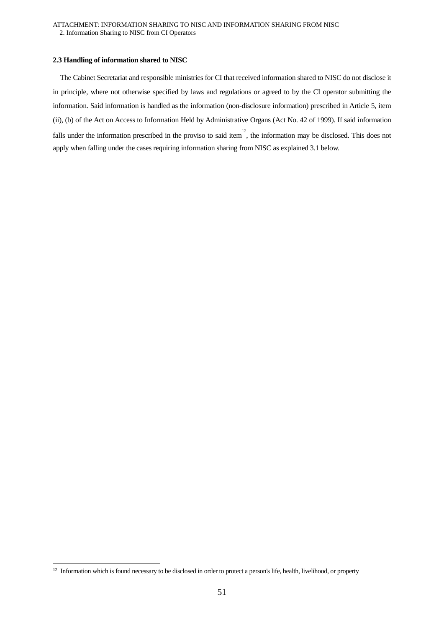#### <span id="page-54-0"></span>**2.3 Handling of information shared to NISC**

The Cabinet Secretariat and responsible ministries for CI that received information shared to NISC do not disclose it in principle, where not otherwise specified by laws and regulations or agreed to by the CI operator submitting the information. Said information is handled as the information (non-disclosure information) prescribed in Article 5, item (ii), (b) of the Act on Access to Information Held by Administrative Organs (Act No. 42 of 1999). If said information falls under the information prescribed in the proviso to said item<sup>12</sup>, the information may be disclosed. This does not apply when falling under the cases requiring information sharing from NISC as explained 3.1 below.

<sup>&</sup>lt;sup>12</sup> Information which is found necessary to be disclosed in order to protect a person's life, health, livelihood, or property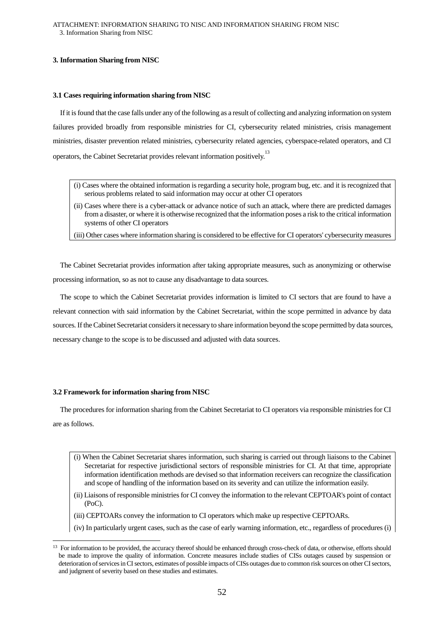# <span id="page-55-1"></span><span id="page-55-0"></span>**3. Information Sharing from NISC**

#### **3.1 Cases requiring information sharing from NISC**

If it is found that the case falls under any of the following as a result of collecting and analyzing information on system failures provided broadly from responsible ministries for CI, cybersecurity related ministries, crisis management ministries, disaster prevention related ministries, cybersecurity related agencies, cyberspace-related operators, and CI operators, the Cabinet Secretariat provides relevant information positively.<sup>13</sup>

- (i) Cases where the obtained information is regarding a security hole, program bug, etc. and it is recognized that serious problems related to said information may occur at other CI operators
- (ii) Cases where there is a cyber-attack or advance notice of such an attack, where there are predicted damages from a disaster, or where it is otherwise recognized that the information poses a risk to the critical information systems of other CI operators

(iii) Other cases where information sharing is considered to be effective for CI operators' cybersecurity measures

The Cabinet Secretariat provides information after taking appropriate measures, such as anonymizing or otherwise processing information, so as not to cause any disadvantage to data sources.

The scope to which the Cabinet Secretariat provides information is limited to CI sectors that are found to have a relevant connection with said information by the Cabinet Secretariat, within the scope permitted in advance by data sources. If the Cabinet Secretariat considers it necessary to share information beyond the scope permitted by data sources, necessary change to the scope is to be discussed and adjusted with data sources.

#### <span id="page-55-2"></span>**3.2 Framework for information sharing from NISC**

 $\overline{a}$ 

The procedures for information sharing from the Cabinet Secretariat to CI operators via responsible ministries for CI are as follows.

- (i) When the Cabinet Secretariat shares information, such sharing is carried out through liaisons to the Cabinet Secretariat for respective jurisdictional sectors of responsible ministries for CI. At that time, appropriate information identification methods are devised so that information receivers can recognize the classification and scope of handling of the information based on its severity and can utilize the information easily.
- (ii) Liaisons of responsible ministries for CI convey the information to the relevant CEPTOAR's point of contact (PoC).
- (iii) CEPTOARs convey the information to CI operators which make up respective CEPTOARs.
- (iv) In particularly urgent cases, such as the case of early warning information, etc., regardless of procedures (i)

<sup>&</sup>lt;sup>13</sup> For information to be provided, the accuracy thereof should be enhanced through cross-check of data, or otherwise, efforts should be made to improve the quality of information. Concrete measures include studies of CISs outages caused by suspension or deterioration of services in CI sectors, estimates of possible impacts of CISs outages due to common risk sources on other CI sectors, and judgment of severity based on these studies and estimates.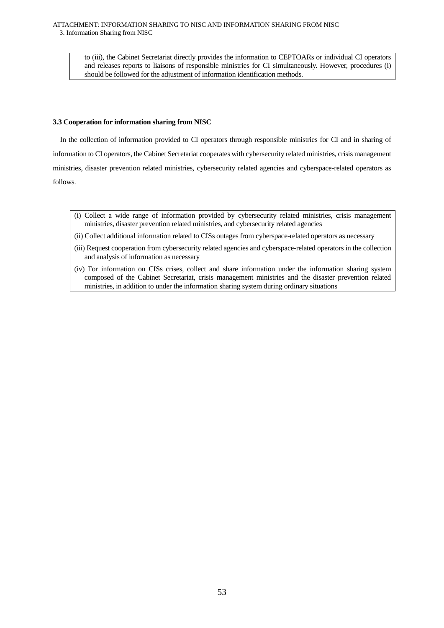to (iii), the Cabinet Secretariat directly provides the information to CEPTOARs or individual CI operators and releases reports to liaisons of responsible ministries for CI simultaneously. However, procedures (i) should be followed for the adjustment of information identification methods.

# <span id="page-56-0"></span>**3.3 Cooperation for information sharing from NISC**

In the collection of information provided to CI operators through responsible ministries for CI and in sharing of information to CI operators, the Cabinet Secretariat cooperates with cybersecurity related ministries, crisis management ministries, disaster prevention related ministries, cybersecurity related agencies and cyberspace-related operators as follows.

- (i) Collect a wide range of information provided by cybersecurity related ministries, crisis management ministries, disaster prevention related ministries, and cybersecurity related agencies
- (ii) Collect additional information related to CISs outages from cyberspace-related operators as necessary
- (iii) Request cooperation from cybersecurity related agencies and cyberspace-related operators in the collection and analysis of information as necessary
- (iv) For information on CISs crises, collect and share information under the information sharing system composed of the Cabinet Secretariat, crisis management ministries and the disaster prevention related ministries, in addition to under the information sharing system during ordinary situations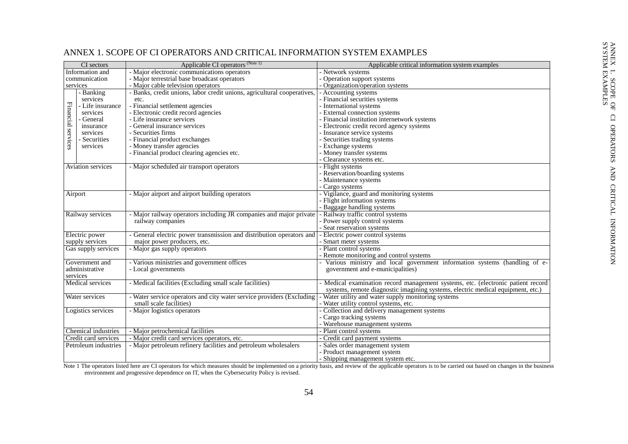|                                        | CI sectors           | Applicable CI operators (Note 1)                                        | Applicable critical information system examples                                 |
|----------------------------------------|----------------------|-------------------------------------------------------------------------|---------------------------------------------------------------------------------|
|                                        |                      | - Major electronic communications operators                             | - Network systems                                                               |
| Information and<br>communication       |                      |                                                                         |                                                                                 |
|                                        |                      | - Major terrestrial base broadcast operators                            | - Operation support systems                                                     |
| services                               |                      | - Major cable television operators                                      | - Organization/operation systems                                                |
|                                        | - Banking            | - Banks, credit unions, labor credit unions, agricultural cooperatives, | - Accounting systems                                                            |
|                                        | services             | etc.                                                                    | - Financial securities systems                                                  |
|                                        | - Life insurance     | - Financial settlement agencies                                         | - International systems                                                         |
|                                        | services             | - Electronic credit record agencies                                     | - External connection systems                                                   |
|                                        | - General            | - Life insurance services                                               | - Financial institution internetwork systems                                    |
| Financial services                     | insurance            | - General insurance services                                            | - Electronic credit record agency systems                                       |
|                                        | services             | - Securities firms                                                      | - Insurance service systems                                                     |
|                                        | - Securities         | - Financial product exchanges                                           | Securities trading systems                                                      |
|                                        | services             | - Money transfer agencies                                               | - Exchange systems                                                              |
|                                        |                      | - Financial product clearing agencies etc.                              | - Money transfer systems                                                        |
|                                        |                      |                                                                         | - Clearance systems etc.                                                        |
|                                        | Aviation services    | - Major scheduled air transport operators                               | - Flight systems                                                                |
|                                        |                      |                                                                         | - Reservation/boarding systems                                                  |
|                                        |                      |                                                                         | - Maintenance systems                                                           |
|                                        |                      |                                                                         | - Cargo systems                                                                 |
| Airport                                |                      | - Major airport and airport building operators                          | - Vigilance, guard and monitoring systems                                       |
|                                        |                      |                                                                         | - Flight information systems                                                    |
|                                        |                      |                                                                         | - Baggage handling systems                                                      |
|                                        | Railway services     | - Major railway operators including JR companies and major private      | - Railway traffic control systems                                               |
|                                        |                      | railway companies                                                       | - Power supply control systems                                                  |
|                                        |                      |                                                                         | - Seat reservation systems                                                      |
|                                        | Electric power       | - General electric power transmission and distribution operators and    | - Electric power control systems                                                |
|                                        |                      | major power producers, etc.                                             | Smart meter systems                                                             |
| supply services<br>Gas supply services |                      | - Major gas supply operators                                            | - Plant control systems                                                         |
|                                        |                      |                                                                         | Remote monitoring and control systems                                           |
|                                        | Government and       | - Various ministries and government offices                             | Various ministry and local government information systems (handling of e-       |
|                                        | administrative       |                                                                         |                                                                                 |
|                                        |                      | - Local governments                                                     | government and e-municipalities)                                                |
| services                               |                      |                                                                         |                                                                                 |
|                                        | Medical services     | - Medical facilities (Excluding small scale facilities)                 | Medical examination record management systems, etc. (electronic patient record  |
|                                        |                      |                                                                         | systems, remote diagnostic imagining systems, electric medical equipment, etc.) |
|                                        | Water services       | - Water service operators and city water service providers (Excluding   | Water utility and water supply monitoring systems                               |
|                                        |                      | small scale facilities)                                                 | - Water utility control systems, etc.                                           |
|                                        | Logistics services   | - Major logistics operators                                             | Collection and delivery management systems                                      |
|                                        |                      |                                                                         | Cargo tracking systems                                                          |
|                                        |                      |                                                                         | - Warehouse management systems                                                  |
|                                        | Chemical industries  | - Major petrochemical facilities                                        | - Plant control systems                                                         |
|                                        | Credit card services | - Major credit card services operators, etc.                            | Credit card payment systems                                                     |
|                                        | Petroleum industries | - Major petroleum refinery facilities and petroleum wholesalers         | Sales order management system                                                   |
|                                        |                      |                                                                         | - Product management system                                                     |
|                                        |                      |                                                                         | - Shipping management system etc.                                               |

# ANNEX 1. SCOPE OF CI OPERATORS AND CRITICAL INFORMATION SYSTEM EXAMPLES

<span id="page-57-0"></span>Note 1 The operators listed here are CI operators for which measures should be implemented on a priority basis, and review of the applicable operators is to be carried out based on changes in the business environment and progressive dependence on IT, when the Cybersecurity Policy is revised.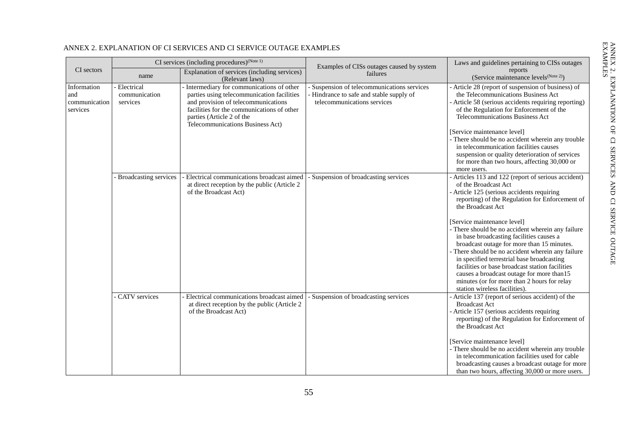<span id="page-58-0"></span>

|                                                 | CI services (including procedures) <sup>(Note 1)</sup> |                                                                                                                                                                                                                                                | Examples of CISs outages caused by system                                                                            | Laws and guidelines pertaining to CISs outages                                                                                                                                                                                                                                                                                    |
|-------------------------------------------------|--------------------------------------------------------|------------------------------------------------------------------------------------------------------------------------------------------------------------------------------------------------------------------------------------------------|----------------------------------------------------------------------------------------------------------------------|-----------------------------------------------------------------------------------------------------------------------------------------------------------------------------------------------------------------------------------------------------------------------------------------------------------------------------------|
| CI sectors                                      | name                                                   | Explanation of services (including services)<br>(Relevant laws)                                                                                                                                                                                | failures                                                                                                             | reports<br>(Service maintenance levels <sup>(Note 2)</sup> )                                                                                                                                                                                                                                                                      |
| Information<br>and<br>communication<br>services | Electrical<br>communication<br>services                | - Intermediary for communications of other<br>parties using telecommunication facilities<br>and provision of telecommunications<br>facilities for the communications of other<br>parties (Article 2 of the<br>Telecommunications Business Act) | - Suspension of telecommunications services<br>Hindrance to safe and stable supply of<br>telecommunications services | Article 28 (report of suspension of business) of<br>the Telecommunications Business Act<br>- Article 58 (serious accidents requiring reporting)<br>of the Regulation for Enforcement of the<br><b>Telecommunications Business Act</b>                                                                                             |
|                                                 |                                                        |                                                                                                                                                                                                                                                |                                                                                                                      | [Service maintenance level]<br>There should be no accident wherein any trouble<br>in telecommunication facilities causes<br>suspension or quality deterioration of services<br>for more than two hours, affecting 30,000 or<br>more users.                                                                                        |
|                                                 | - Broadcasting services                                | - Electrical communications broadcast aimed<br>at direct reception by the public (Article 2<br>of the Broadcast Act)                                                                                                                           | - Suspension of broadcasting services                                                                                | Articles 113 and 122 (report of serious accident)<br>of the Broadcast Act<br>Article 125 (serious accidents requiring<br>reporting) of the Regulation for Enforcement of<br>the Broadcast Act<br>[Service maintenance level]<br>- There should be no accident wherein any failure<br>in base broadcasting facilities causes a     |
|                                                 |                                                        |                                                                                                                                                                                                                                                |                                                                                                                      | broadcast outage for more than 15 minutes.<br>There should be no accident wherein any failure<br>in specified terrestrial base broadcasting<br>facilities or base broadcast station facilities<br>causes a broadcast outage for more than15<br>minutes (or for more than 2 hours for relay<br>station wireless facilities).       |
|                                                 | CATV services                                          | Electrical communications broadcast aimed<br>at direct reception by the public (Article 2<br>of the Broadcast Act)                                                                                                                             | - Suspension of broadcasting services                                                                                | Article 137 (report of serious accident) of the<br><b>Broadcast Act</b><br>Article 157 (serious accidents requiring<br>reporting) of the Regulation for Enforcement of<br>the Broadcast Act<br>[Service maintenance level]<br>- There should be no accident wherein any trouble<br>in telecommunication facilities used for cable |
|                                                 |                                                        |                                                                                                                                                                                                                                                |                                                                                                                      | broadcasting causes a broadcast outage for more<br>than two hours, affecting 30,000 or more users.                                                                                                                                                                                                                                |

# ANNEX 2. EXPLANATION OF CI SERVICES AND CI SERVICE OUTAGE EXAMPLES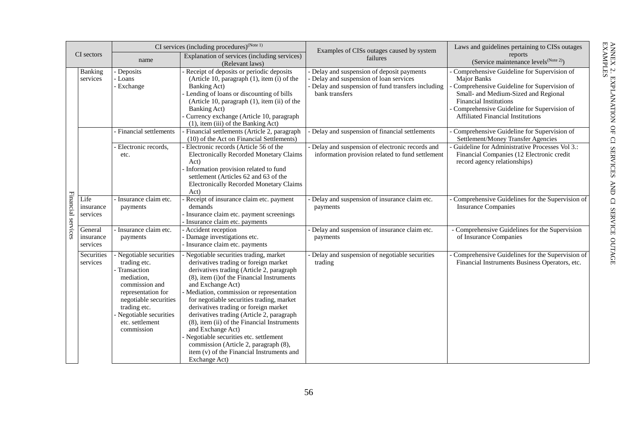| CI sectors         |                                  | CI services (including procedures) <sup>(Note 1)</sup>                                                                                                                                                        |                                                                                                                                                                                                                                                                                                                                                                                                                                                                                                                                                                                                  | Examples of CISs outages caused by system                                                                                                               | Laws and guidelines pertaining to CISs outages                                                                                                                                                                                                                                    |
|--------------------|----------------------------------|---------------------------------------------------------------------------------------------------------------------------------------------------------------------------------------------------------------|--------------------------------------------------------------------------------------------------------------------------------------------------------------------------------------------------------------------------------------------------------------------------------------------------------------------------------------------------------------------------------------------------------------------------------------------------------------------------------------------------------------------------------------------------------------------------------------------------|---------------------------------------------------------------------------------------------------------------------------------------------------------|-----------------------------------------------------------------------------------------------------------------------------------------------------------------------------------------------------------------------------------------------------------------------------------|
|                    |                                  | name                                                                                                                                                                                                          | Explanation of services (including services)<br>(Relevant laws)                                                                                                                                                                                                                                                                                                                                                                                                                                                                                                                                  | failures                                                                                                                                                | reports<br>(Service maintenance levels <sup>(Note 2)</sup> )                                                                                                                                                                                                                      |
|                    | Banking<br>services              | Deposits<br>Loans<br>- Exchange                                                                                                                                                                               | Receipt of deposits or periodic deposits<br>(Article 10, paragraph $(1)$ , item $(i)$ of the<br>Banking Act)<br>Lending of loans or discounting of bills<br>(Article 10, paragraph (1), item (ii) of the<br>Banking Act)<br>Currency exchange (Article 10, paragraph<br>(1), item (iii) of the Banking Act)                                                                                                                                                                                                                                                                                      | Delay and suspension of deposit payments<br>Delay and suspension of loan services<br>Delay and suspension of fund transfers including<br>bank transfers | Comprehensive Guideline for Supervision of<br><b>Major Banks</b><br>Comprehensive Guideline for Supervision of<br>Small- and Medium-Sized and Regional<br><b>Financial Institutions</b><br>Comprehensive Guideline for Supervision of<br><b>Affiliated Financial Institutions</b> |
|                    |                                  | Financial settlements                                                                                                                                                                                         | Financial settlements (Article 2, paragraph<br>(10) of the Act on Financial Settlements)                                                                                                                                                                                                                                                                                                                                                                                                                                                                                                         | Delay and suspension of financial settlements                                                                                                           | Comprehensive Guideline for Supervision of<br>Settlement/Money Transfer Agencies                                                                                                                                                                                                  |
| Financial services |                                  | Electronic records,<br>etc.                                                                                                                                                                                   | Electronic records (Article 56 of the<br><b>Electronically Recorded Monetary Claims</b><br>Act)<br>Information provision related to fund<br>settlement (Articles 62 and 63 of the<br><b>Electronically Recorded Monetary Claims</b><br>Act)                                                                                                                                                                                                                                                                                                                                                      | Delay and suspension of electronic records and<br>information provision related to fund settlement                                                      | Guideline for Administrative Processes Vol 3.:<br>Financial Companies (12 Electronic credit<br>record agency relationships)                                                                                                                                                       |
|                    | Life<br>insurance<br>services    | - Insurance claim etc.<br>payments                                                                                                                                                                            | Receipt of insurance claim etc. payment<br>demands<br>Insurance claim etc. payment screenings<br>Insurance claim etc. payments                                                                                                                                                                                                                                                                                                                                                                                                                                                                   | Delay and suspension of insurance claim etc.<br>payments                                                                                                | Comprehensive Guidelines for the Supervision of<br><b>Insurance Companies</b>                                                                                                                                                                                                     |
|                    | General<br>insurance<br>services | Insurance claim etc.<br>payments                                                                                                                                                                              | Accident reception<br>Damage investigations etc.<br>- Insurance claim etc. payments                                                                                                                                                                                                                                                                                                                                                                                                                                                                                                              | Delay and suspension of insurance claim etc.<br>payments                                                                                                | - Comprehensive Guidelines for the Supervision<br>of Insurance Companies                                                                                                                                                                                                          |
|                    | Securities<br>services           | Negotiable securities<br>trading etc.<br>Transaction<br>mediation,<br>commission and<br>representation for<br>negotiable securities<br>trading etc.<br>Negotiable securities<br>etc. settlement<br>commission | Negotiable securities trading, market<br>derivatives trading or foreign market<br>derivatives trading (Article 2, paragraph<br>(8), item (i) of the Financial Instruments<br>and Exchange Act)<br>Mediation, commission or representation<br>for negotiable securities trading, market<br>derivatives trading or foreign market<br>derivatives trading (Article 2, paragraph<br>(8), item (ii) of the Financial Instruments<br>and Exchange Act)<br>Negotiable securities etc. settlement<br>commission (Article 2, paragraph (8),<br>item (v) of the Financial Instruments and<br>Exchange Act) | Delay and suspension of negotiable securities<br>trading                                                                                                | Comprehensive Guidelines for the Supervision of<br>Financial Instruments Business Operators, etc.                                                                                                                                                                                 |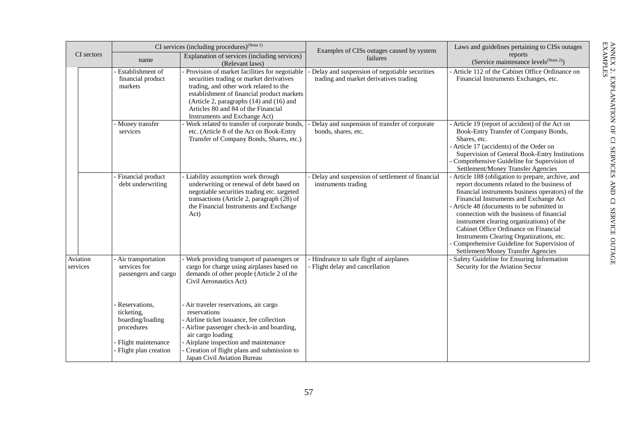| CI sectors |                      | CI services (including procedures) $(N^{(Note 1)})$                                                           |                                                                                                                                                                                                                                                                                                           | Examples of CISs outages caused by system                                                 | Laws and guidelines pertaining to CISs outages                                                                                                                                                                                                                                                                                                                                                                                                                                                                   |
|------------|----------------------|---------------------------------------------------------------------------------------------------------------|-----------------------------------------------------------------------------------------------------------------------------------------------------------------------------------------------------------------------------------------------------------------------------------------------------------|-------------------------------------------------------------------------------------------|------------------------------------------------------------------------------------------------------------------------------------------------------------------------------------------------------------------------------------------------------------------------------------------------------------------------------------------------------------------------------------------------------------------------------------------------------------------------------------------------------------------|
|            |                      | name                                                                                                          | Explanation of services (including services)<br>(Relevant laws)                                                                                                                                                                                                                                           | failures                                                                                  | reports<br>(Service maintenance levels <sup>(Note 2)</sup> )                                                                                                                                                                                                                                                                                                                                                                                                                                                     |
|            |                      | Establishment of<br>financial product<br>markets                                                              | Provision of market facilities for negotiable<br>securities trading or market derivatives<br>trading, and other work related to the<br>establishment of financial product markets<br>(Article 2, paragraphs $(14)$ and $(16)$ and<br>Articles 80 and 84 of the Financial<br>Instruments and Exchange Act) | - Delay and suspension of negotiable securities<br>trading and market derivatives trading | - Article 112 of the Cabinet Office Ordinance on<br>Financial Instruments Exchanges, etc.                                                                                                                                                                                                                                                                                                                                                                                                                        |
|            |                      | - Money transfer<br>services                                                                                  | Work related to transfer of corporate bonds,<br>etc. (Article 8 of the Act on Book-Entry<br>Transfer of Company Bonds, Shares, etc.)                                                                                                                                                                      | Delay and suspension of transfer of corporate<br>bonds, shares, etc.                      | - Article 19 (report of accident) of the Act on<br>Book-Entry Transfer of Company Bonds,<br>Shares, etc.<br>- Article 17 (accidents) of the Order on<br>Supervision of General Book-Entry Institutions<br>Comprehensive Guideline for Supervision of<br>Settlement/Money Transfer Agencies                                                                                                                                                                                                                       |
|            |                      | Financial product<br>debt underwriting                                                                        | Liability assumption work through<br>underwriting or renewal of debt based on<br>negotiable securities trading etc. targeted<br>transactions (Article 2, paragraph (28) of<br>the Financial Instruments and Exchange<br>Act)                                                                              | Delay and suspension of settlement of financial<br>instruments trading                    | - Article 188 (obligation to prepare, archive, and<br>report documents related to the business of<br>financial instruments business operators) of the<br>Financial Instruments and Exchange Act<br>- Article 48 (documents to be submitted in<br>connection with the business of financial<br>instrument clearing organizations) of the<br>Cabinet Office Ordinance on Financial<br>Instruments Clearing Organizations, etc.<br>Comprehensive Guideline for Supervision of<br>Settlement/Money Transfer Agencies |
|            | Aviation<br>services | Air transportation<br>services for<br>passengers and cargo                                                    | Work providing transport of passengers or<br>cargo for charge using airplanes based on<br>demands of other people (Article 2 of the<br>Civil Aeronautics Act)                                                                                                                                             | - Hindrance to safe flight of airplanes<br>- Flight delay and cancellation                | Safety Guideline for Ensuring Information<br>Security for the Aviation Sector                                                                                                                                                                                                                                                                                                                                                                                                                                    |
|            |                      | Reservations,<br>ticketing,<br>boarding/loading<br>procedures<br>Flight maintenance<br>- Flight plan creation | - Air traveler reservations, air cargo<br>reservations<br>Airline ticket issuance, fee collection<br>- Airline passenger check-in and boarding,<br>air cargo loading<br>- Airplane inspection and maintenance<br>Creation of flight plans and submission to<br>Japan Civil Aviation Bureau                |                                                                                           |                                                                                                                                                                                                                                                                                                                                                                                                                                                                                                                  |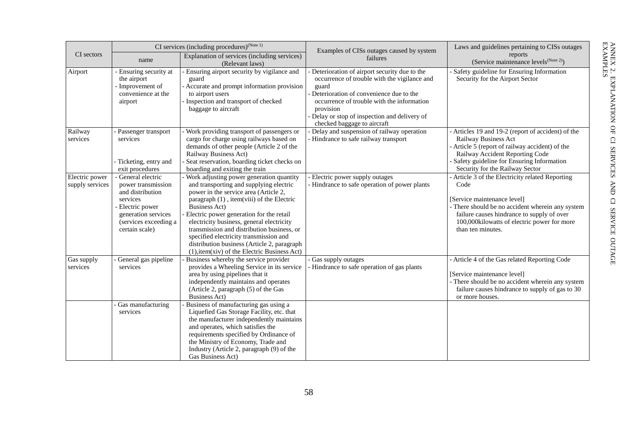|                                   | CI services (including procedures) $(N^{1/10})$                                                                                                                |                                                                                                                                                                                                                                                                                                                                                                                                                                                                                            | Examples of CISs outages caused by system                                                                                                                                                                                                                                                     | Laws and guidelines pertaining to CISs outages                                                                                                                                                                                                                |
|-----------------------------------|----------------------------------------------------------------------------------------------------------------------------------------------------------------|--------------------------------------------------------------------------------------------------------------------------------------------------------------------------------------------------------------------------------------------------------------------------------------------------------------------------------------------------------------------------------------------------------------------------------------------------------------------------------------------|-----------------------------------------------------------------------------------------------------------------------------------------------------------------------------------------------------------------------------------------------------------------------------------------------|---------------------------------------------------------------------------------------------------------------------------------------------------------------------------------------------------------------------------------------------------------------|
| CI sectors                        | name                                                                                                                                                           | Explanation of services (including services)<br>(Relevant laws)                                                                                                                                                                                                                                                                                                                                                                                                                            | failures                                                                                                                                                                                                                                                                                      | reports<br>(Service maintenance levels <sup>(Note 2)</sup> )                                                                                                                                                                                                  |
| Airport                           | - Ensuring security at<br>the airport<br>- Improvement of<br>convenience at the<br>airport                                                                     | - Ensuring airport security by vigilance and<br>guard<br>- Accurate and prompt information provision<br>to airport users<br>Inspection and transport of checked<br>baggage to aircraft                                                                                                                                                                                                                                                                                                     | - Deterioration of airport security due to the<br>occurrence of trouble with the vigilance and<br>guard<br>Deterioration of convenience due to the<br>occurrence of trouble with the information<br>provision<br>- Delay or stop of inspection and delivery of<br>checked baggage to aircraft | - Safety guideline for Ensuring Information<br>Security for the Airport Sector                                                                                                                                                                                |
| Railway<br>services               | Passenger transport<br>services<br>- Ticketing, entry and<br>exit procedures                                                                                   | Work providing transport of passengers or<br>cargo for charge using railways based on<br>demands of other people (Article 2 of the<br>Railway Business Act)<br>Seat reservation, boarding ticket checks on<br>boarding and exiting the train                                                                                                                                                                                                                                               | - Delay and suspension of railway operation<br>- Hindrance to safe railway transport                                                                                                                                                                                                          | - Articles 19 and 19-2 (report of accident) of the<br>Railway Business Act<br>- Article 5 (report of railway accident) of the<br>Railway Accident Reporting Code<br>- Safety guideline for Ensuring Information<br>Security for the Railway Sector            |
| Electric power<br>supply services | - General electric<br>power transmission<br>and distribution<br>services<br>- Electric power<br>generation services<br>(services exceeding a<br>certain scale) | Work adjusting power generation quantity<br>and transporting and supplying electric<br>power in the service area (Article 2,<br>paragraph $(1)$ , item(viii) of the Electric<br><b>Business Act)</b><br>Electric power generation for the retail<br>electricity business, general electricity<br>transmission and distribution business, or<br>specified electricity transmission and<br>distribution business (Article 2, paragraph<br>$(1)$ , item $(xiv)$ of the Electric Business Act) | - Electric power supply outages<br>- Hindrance to safe operation of power plants                                                                                                                                                                                                              | - Article 3 of the Electricity related Reporting<br>Code<br>[Service maintenance level]<br>- There should be no accident wherein any system<br>failure causes hindrance to supply of over<br>100,000kilowatts of electric power for more<br>than ten minutes. |
| Gas supply<br>services            | General gas pipeline<br>services                                                                                                                               | Business whereby the service provider<br>provides a Wheeling Service in its service<br>area by using pipelines that it<br>independently maintains and operates<br>(Article 2, paragraph (5) of the Gas<br><b>Business Act)</b>                                                                                                                                                                                                                                                             | - Gas supply outages<br>- Hindrance to safe operation of gas plants                                                                                                                                                                                                                           | - Article 4 of the Gas related Reporting Code<br>[Service maintenance level]<br>- There should be no accident wherein any system<br>failure causes hindrance to supply of gas to 30<br>or more houses.                                                        |
|                                   | - Gas manufacturing<br>services                                                                                                                                | Business of manufacturing gas using a<br>Liquefied Gas Storage Facility, etc. that<br>the manufacturer independently maintains<br>and operates, which satisfies the<br>requirements specified by Ordinance of<br>the Ministry of Economy, Trade and<br>Industry (Article 2, paragraph (9) of the<br>Gas Business Act)                                                                                                                                                                      |                                                                                                                                                                                                                                                                                               |                                                                                                                                                                                                                                                               |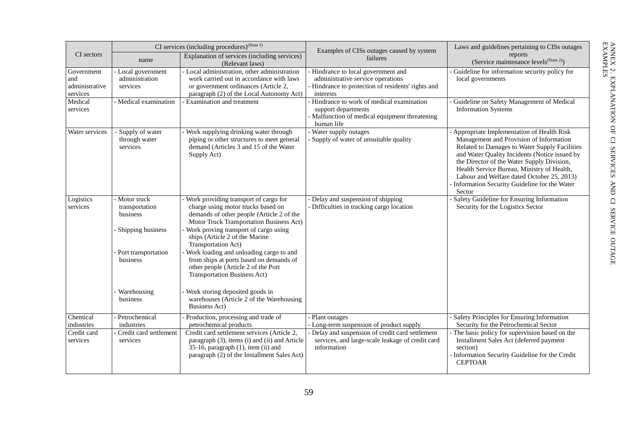|                                                   | CI services (including procedures) $(N^{(Note 1)})$                                                                            |                                                                                                                                                                                                                                                                                                                                                                                                                                                                                                                                              | Examples of CISs outages caused by system                                                                                                                                    | Laws and guidelines pertaining to CISs outages                                                                                                                                                                                                                                                                                                                                               |
|---------------------------------------------------|--------------------------------------------------------------------------------------------------------------------------------|----------------------------------------------------------------------------------------------------------------------------------------------------------------------------------------------------------------------------------------------------------------------------------------------------------------------------------------------------------------------------------------------------------------------------------------------------------------------------------------------------------------------------------------------|------------------------------------------------------------------------------------------------------------------------------------------------------------------------------|----------------------------------------------------------------------------------------------------------------------------------------------------------------------------------------------------------------------------------------------------------------------------------------------------------------------------------------------------------------------------------------------|
| CI sectors                                        | Explanation of services (including services)<br>name<br>(Relevant laws)                                                        |                                                                                                                                                                                                                                                                                                                                                                                                                                                                                                                                              | failures                                                                                                                                                                     | reports<br>(Service maintenance levels <sup>(Note 2)</sup> )                                                                                                                                                                                                                                                                                                                                 |
| Government<br>and<br>administrative<br>services   | Local government<br>administration<br>services                                                                                 | Local administration, other administration<br>work carried out in accordance with laws<br>or government ordinances (Article 2,<br>paragraph (2) of the Local Autonomy Act)                                                                                                                                                                                                                                                                                                                                                                   | Hindrance to local government and<br>administrative service operations<br>- Hindrance to protection of residents' rights and<br>interests                                    | Guideline for information security policy for<br>local governments                                                                                                                                                                                                                                                                                                                           |
| Medical<br>services                               | - Medical examination                                                                                                          | - Examination and treatment                                                                                                                                                                                                                                                                                                                                                                                                                                                                                                                  | Hindrance to work of medical examination<br>support departments<br>Malfunction of medical equipment threatening<br>human life                                                | Guideline on Safety Management of Medical<br><b>Information Systems</b>                                                                                                                                                                                                                                                                                                                      |
| Water services                                    | - Supply of water<br>through water<br>services                                                                                 | - Work supplying drinking water through<br>piping or other structures to meet general<br>demand (Articles 3 and 15 of the Water<br>Supply Act)                                                                                                                                                                                                                                                                                                                                                                                               | - Water supply outages<br>- Supply of water of unsuitable quality                                                                                                            | - Appropriate Implementation of Health Risk<br>Management and Provision of Information<br>Related to Damages to Water Supply Facilities<br>and Water Quality Incidents (Notice issued by<br>the Director of the Water Supply Division,<br>Health Service Bureau, Ministry of Health,<br>Labour and Welfare dated October 25, 2013)<br>Information Security Guideline for the Water<br>Sector |
| Logistics<br>services                             | - Motor truck<br>transportation<br>business<br>Shipping business<br>Port transportation<br>business<br>Warehousing<br>business | - Work providing transport of cargo for<br>charge using motor trucks based on<br>demands of other people (Article 2 of the<br>Motor Truck Transportation Business Act)<br>Work proving transport of cargo using<br>ships (Article 2 of the Marine<br>Transportation Act)<br>Work loading and unloading cargo to and<br>from ships at ports based on demands of<br>other people (Article 2 of the Port<br>Transportation Business Act)<br>Work storing deposited goods in<br>warehouses (Article 2 of the Warehousing<br><b>Business Act)</b> | Delay and suspension of shipping<br>- Difficulties in tracking cargo location                                                                                                | - Safety Guideline for Ensuring Information<br>Security for the Logistics Sector                                                                                                                                                                                                                                                                                                             |
| Chemical<br>industries<br>Credit card<br>services | Petrochemical<br>industries<br>Credit card settlement<br>services                                                              | Production, processing and trade of<br>petrochemical products<br>Credit card settlement services (Article 2,<br>paragraph (3), items (i) and (ii) and Article<br>35-16, paragraph (1), item (ii) and<br>paragraph (2) of the Installment Sales Act)                                                                                                                                                                                                                                                                                          | Plant outages<br>Long-term suspension of product supply<br>Delay and suspension of credit card settlement<br>services, and large-scale leakage of credit card<br>information | - Safety Principles for Ensuring Information<br>Security for the Petrochemical Sector<br>- The basic policy for supervision based on the<br>Installment Sales Act (deferred payment<br>section)<br>Information Security Guideline for the Credit<br><b>CEPTOAR</b>                                                                                                                           |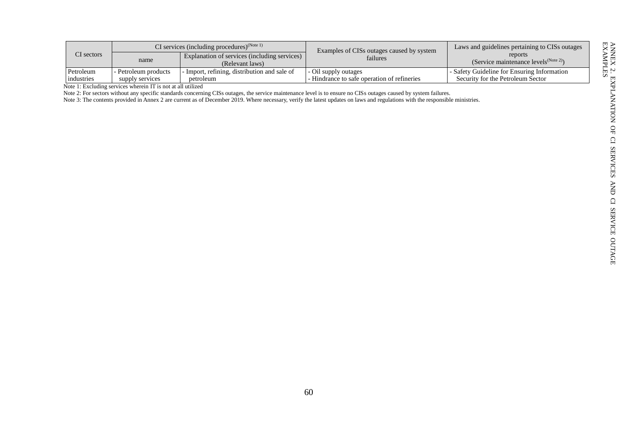|              | CI services (including procedures) <sup>(Note 1)</sup> |                                                                 | Examples of CISs outages caused by system   | Laws and guidelines pertaining to CISs outages               |
|--------------|--------------------------------------------------------|-----------------------------------------------------------------|---------------------------------------------|--------------------------------------------------------------|
| $CI$ sectors | name                                                   | Explanation of services (including services)<br>(Relevant laws) | failures                                    | reports<br>(Service maintenance levels <sup>(Note 2)</sup> ) |
| Petroleum    | - Petroleum products                                   | - Import, refining, distribution and sale of                    | - Oil supply outages                        | - Safety Guideline for Ensuring Information                  |
| industries   | supply services                                        | petroleum                                                       | - Hindrance to safe operation of refineries | Security for the Petroleum Sector                            |

Note 1: Excluding services wherein IT is not at all utilized

Note 2: For sectors without any specific standards concerning CISs outages, the service maintenance level is to ensure no CISs outages caused by system failures.

Note 3: The contents provided in Annex 2 are current as of December 2019. Where necessary, verify the latest updates on laws and regulations with the responsible ministries.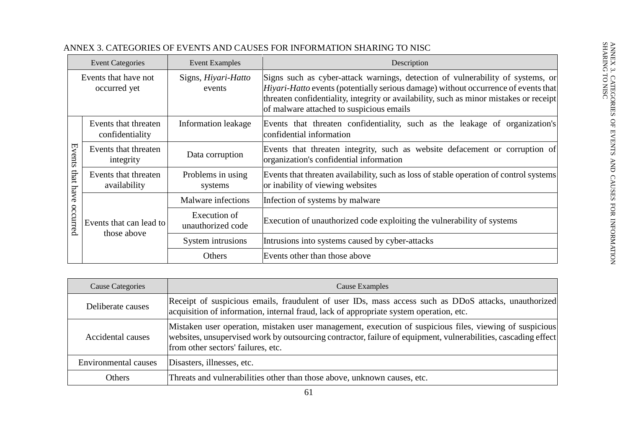| <b>Event Categories</b>              |                                         | <b>Event Examples</b>             | Description                                                                                                                                                                                                                                                                                                       |  |
|--------------------------------------|-----------------------------------------|-----------------------------------|-------------------------------------------------------------------------------------------------------------------------------------------------------------------------------------------------------------------------------------------------------------------------------------------------------------------|--|
| Events that have not<br>occurred yet |                                         | Signs, Hiyari-Hatto<br>events     | Signs such as cyber-attack warnings, detection of vulnerability of systems, or<br><i>Hiyari-Hatto</i> events (potentially serious damage) without occurrence of events that<br>threaten confidentiality, integrity or availability, such as minor mistakes or receipt<br>of malware attached to suspicious emails |  |
| Events<br>that<br>have<br>occurred   | Events that threaten<br>confidentiality | Information leakage               | Events that threaten confidentiality, such as the leakage of organization's<br>confidential information                                                                                                                                                                                                           |  |
|                                      | Events that threaten<br>integrity       | Data corruption                   | Events that threaten integrity, such as website defacement or corruption of<br>organization's confidential information                                                                                                                                                                                            |  |
|                                      | Events that threaten<br>availability    | Problems in using<br>systems      | Events that threaten availability, such as loss of stable operation of control systems<br>or inability of viewing websites                                                                                                                                                                                        |  |
|                                      | Events that can lead to<br>those above  | Malware infections                | Infection of systems by malware                                                                                                                                                                                                                                                                                   |  |
|                                      |                                         | Execution of<br>unauthorized code | Execution of unauthorized code exploiting the vulnerability of systems                                                                                                                                                                                                                                            |  |
|                                      |                                         | System intrusions                 | Intrusions into systems caused by cyber-attacks                                                                                                                                                                                                                                                                   |  |
|                                      |                                         | Others                            | Events other than those above                                                                                                                                                                                                                                                                                     |  |

# ANNEX 3. CATEGORIES OF EVENTS AND CAUSES FOR INFORMATION SHARING TO NISC

<span id="page-64-0"></span>

| Cause Categories            | Cause Examples                                                                                                                                                                                                                                                  |
|-----------------------------|-----------------------------------------------------------------------------------------------------------------------------------------------------------------------------------------------------------------------------------------------------------------|
| Deliberate causes           | Receipt of suspicious emails, fraudulent of user IDs, mass access such as DDoS attacks, unauthorized<br>acquisition of information, internal fraud, lack of appropriate system operation, etc.                                                                  |
| Accidental causes           | Mistaken user operation, mistaken user management, execution of suspicious files, viewing of suspicious<br>websites, unsupervised work by outsourcing contractor, failure of equipment, vulnerabilities, cascading effect<br>from other sectors' failures, etc. |
| <b>Environmental causes</b> | Disasters, illnesses, etc.                                                                                                                                                                                                                                      |
| <b>Others</b>               | Threats and vulnerabilities other than those above, unknown causes, etc.                                                                                                                                                                                        |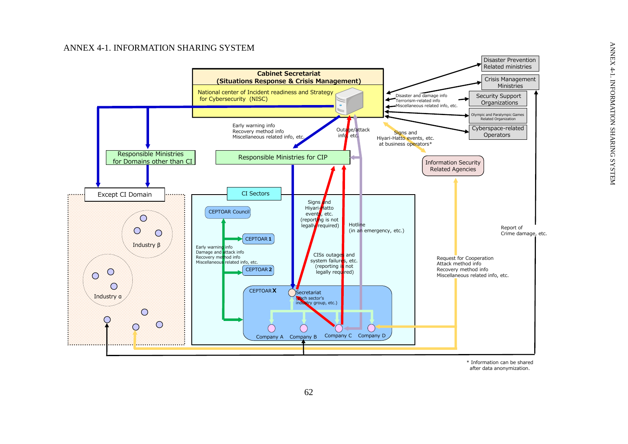# ANNEX 4 - 1 . INFORMATION SHARING SYSTEM

<span id="page-65-0"></span>

<span id="page-65-1"></span>\* Information can be shared after data anonymization.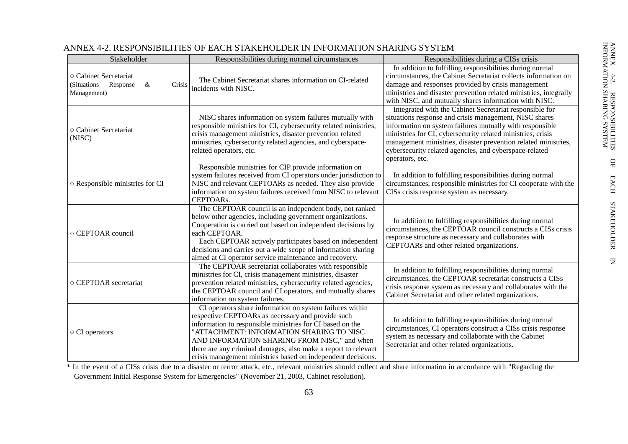| Stakeholder                                                                    | Responsibilities during normal circumstances                                                                                                                                                                                                                                                                                                                                                             | Responsibilities during a CISs crisis                                                                                                                                                                                                                                                                                                                                                       |
|--------------------------------------------------------------------------------|----------------------------------------------------------------------------------------------------------------------------------------------------------------------------------------------------------------------------------------------------------------------------------------------------------------------------------------------------------------------------------------------------------|---------------------------------------------------------------------------------------------------------------------------------------------------------------------------------------------------------------------------------------------------------------------------------------------------------------------------------------------------------------------------------------------|
| ○ Cabinet Secretariat<br>(Situations<br>Response<br>Crisis<br>&<br>Management) | The Cabinet Secretariat shares information on CI-related<br>incidents with NISC.                                                                                                                                                                                                                                                                                                                         | In addition to fulfilling responsibilities during normal<br>circumstances, the Cabinet Secretariat collects information on<br>damage and responses provided by crisis management<br>ministries and disaster prevention related ministries, integrally<br>with NISC, and mutually shares information with NISC.                                                                              |
| o Cabinet Secretariat<br>(NISC)                                                | NISC shares information on system failures mutually with<br>responsible ministries for CI, cybersecurity related ministries,<br>crisis management ministries, disaster prevention related<br>ministries, cybersecurity related agencies, and cyberspace-<br>related operators, etc.                                                                                                                      | Integrated with the Cabinet Secretariat responsible for<br>situations response and crisis management, NISC shares<br>information on system failures mutually with responsible<br>ministries for CI, cybersecurity related ministries, crisis<br>management ministries, disaster prevention related ministries,<br>cybersecurity related agencies, and cyberspace-related<br>operators, etc. |
| ○ Responsible ministries for CI                                                | Responsible ministries for CIP provide information on<br>system failures received from CI operators under jurisdiction to<br>NISC and relevant CEPTOARs as needed. They also provide<br>information on system failures received from NISC to relevant<br>CEPTOARs.                                                                                                                                       | In addition to fulfilling responsibilities during normal<br>circumstances, responsible ministries for CI cooperate with the<br>CISs crisis response system as necessary.                                                                                                                                                                                                                    |
| ○ CEPTOAR council                                                              | The CEPTOAR council is an independent body, not ranked<br>below other agencies, including government organizations.<br>Cooperation is carried out based on independent decisions by<br>each CEPTOAR.<br>Each CEPTOAR actively participates based on independent<br>decisions and carries out a wide scope of information sharing<br>aimed at CI operator service maintenance and recovery.               | In addition to fulfilling responsibilities during normal<br>circumstances, the CEPTOAR council constructs a CISs crisis<br>response structure as necessary and collaborates with<br>CEPTOARs and other related organizations.                                                                                                                                                               |
| ○ CEPTOAR secretariat                                                          | The CEPTOAR secretariat collaborates with responsible<br>ministries for CI, crisis management ministries, disaster<br>prevention related ministries, cybersecurity related agencies,<br>the CEPTOAR council and CI operators, and mutually shares<br>information on system failures.                                                                                                                     | In addition to fulfilling responsibilities during normal<br>circumstances, the CEPTOAR secretariat constructs a CISs<br>crisis response system as necessary and collaborates with the<br>Cabinet Secretariat and other related organizations.                                                                                                                                               |
| ○ CI operators                                                                 | CI operators share information on system failures within<br>respective CEPTOARs as necessary and provide such<br>information to responsible ministries for CI based on the<br>"ATTACHMENT: INFORMATION SHARING TO NISC<br>AND INFORMATION SHARING FROM NISC," and when<br>there are any criminal damages, also make a report to relevant<br>crisis management ministries based on independent decisions. | In addition to fulfilling responsibilities during normal<br>circumstances, CI operators construct a CISs crisis response<br>system as necessary and collaborate with the Cabinet<br>Secretariat and other related organizations.                                                                                                                                                            |

# ANNEX 4-2. RESPONSIBILITIES OF EACH STAKEHOLDER IN INFORMATION SHARING SYSTEM

<sup>\*</sup> In the event of a CISs crisis due to a disaster or terror attack, etc., relevant ministries should collect and share information in accordance with "Regarding the Government Initial Response System for Emergencies" (November 21, 2003, Cabinet resolution).

ANNEX 4-2. RESPONSIBILITIES OF EACH STAKEHOLDER IN

INFORMATION SHARING SYSTEM

ANNEX 4-2. RESPONSIBILITIES ANNEY 4-2. RESPONSIBILITIES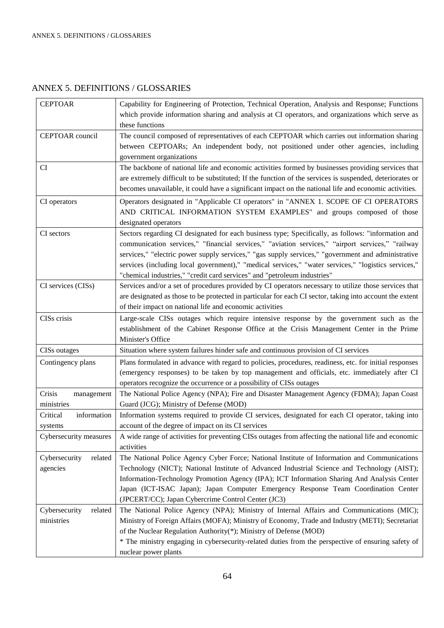# <span id="page-67-0"></span>ANNEX 5. DEFINITIONS / GLOSSARIES

| <b>CEPTOAR</b>                         | Capability for Engineering of Protection, Technical Operation, Analysis and Response; Functions<br>which provide information sharing and analysis at CI operators, and organizations which serve as<br>these functions                                                                                                                                                                                                                                                                          |
|----------------------------------------|-------------------------------------------------------------------------------------------------------------------------------------------------------------------------------------------------------------------------------------------------------------------------------------------------------------------------------------------------------------------------------------------------------------------------------------------------------------------------------------------------|
| CEPTOAR council                        | The council composed of representatives of each CEPTOAR which carries out information sharing<br>between CEPTOARs; An independent body, not positioned under other agencies, including<br>government organizations                                                                                                                                                                                                                                                                              |
| CI                                     | The backbone of national life and economic activities formed by businesses providing services that<br>are extremely difficult to be substituted; If the function of the services is suspended, deteriorates or<br>becomes unavailable, it could have a significant impact on the national life and economic activities.                                                                                                                                                                         |
| CI operators                           | Operators designated in "Applicable CI operators" in "ANNEX 1. SCOPE OF CI OPERATORS<br>AND CRITICAL INFORMATION SYSTEM EXAMPLES" and groups composed of those<br>designated operators                                                                                                                                                                                                                                                                                                          |
| CI sectors                             | Sectors regarding CI designated for each business type; Specifically, as follows: "information and<br>communication services," "financial services," "aviation services," "airport services," "railway<br>services," "electric power supply services," "gas supply services," "government and administrative<br>services (including local government)," "medical services," "water services," "logistics services,"<br>"chemical industries," "credit card services" and "petroleum industries" |
| CI services (CISs)                     | Services and/or a set of procedures provided by CI operators necessary to utilize those services that<br>are designated as those to be protected in particular for each CI sector, taking into account the extent<br>of their impact on national life and economic activities                                                                                                                                                                                                                   |
| CISs crisis                            | Large-scale CISs outages which require intensive response by the government such as the<br>establishment of the Cabinet Response Office at the Crisis Management Center in the Prime<br>Minister's Office                                                                                                                                                                                                                                                                                       |
| <b>CISs</b> outages                    | Situation where system failures hinder safe and continuous provision of CI services                                                                                                                                                                                                                                                                                                                                                                                                             |
| Contingency plans                      | Plans formulated in advance with regard to policies, procedures, readiness, etc. for initial responses<br>(emergency responses) to be taken by top management and officials, etc. immediately after CI<br>operators recognize the occurrence or a possibility of CISs outages                                                                                                                                                                                                                   |
| Crisis<br>management<br>ministries     | The National Police Agency (NPA); Fire and Disaster Management Agency (FDMA); Japan Coast<br>Guard (JCG); Ministry of Defense (MOD)                                                                                                                                                                                                                                                                                                                                                             |
| information<br>Critical<br>systems     | Information systems required to provide CI services, designated for each CI operator, taking into<br>account of the degree of impact on its CI services                                                                                                                                                                                                                                                                                                                                         |
| Cybersecurity measures                 | A wide range of activities for preventing CISs outages from affecting the national life and economic<br>activities                                                                                                                                                                                                                                                                                                                                                                              |
| Cybersecurity<br>related<br>agencies   | The National Police Agency Cyber Force; National Institute of Information and Communications<br>Technology (NICT); National Institute of Advanced Industrial Science and Technology (AIST);<br>Information-Technology Promotion Agency (IPA); ICT Information Sharing And Analysis Center<br>Japan (ICT-ISAC Japan); Japan Computer Emergency Response Team Coordination Center<br>(JPCERT/CC); Japan Cybercrime Control Center (JC3)                                                           |
| Cybersecurity<br>related<br>ministries | The National Police Agency (NPA); Ministry of Internal Affairs and Communications (MIC);<br>Ministry of Foreign Affairs (MOFA); Ministry of Economy, Trade and Industry (METI); Secretariat<br>of the Nuclear Regulation Authority(*); Ministry of Defense (MOD)<br>* The ministry engaging in cybersecurity-related duties from the perspective of ensuring safety of<br>nuclear power plants                                                                                                  |